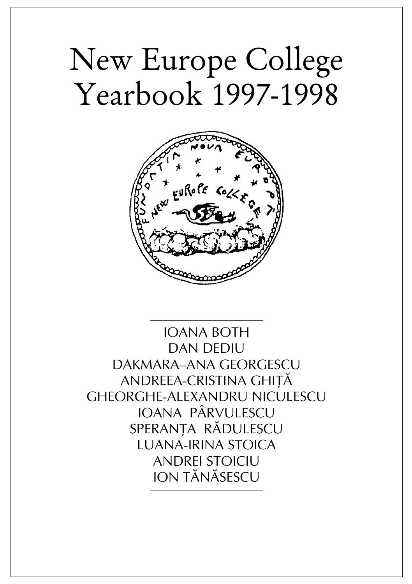# New Europe College Yearbook 1997-1998



IOANA BOTH DAN DEDIU DAKMARA–ana GEORGESCU ANDREEA-CRISTINA GHITĂ GHEORGHE-ALEXANDRU NICULESCU IOANA PÂRVULESCU SPERANTA RĂDULESCU LUANA-IRINA STOICA ANDREI STOICIU ION TÃNÃSESCU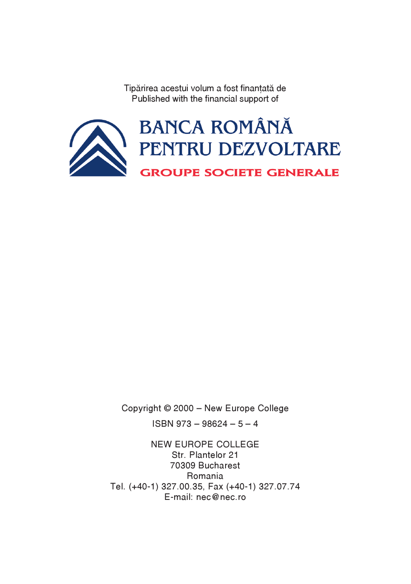Tipărirea acestui volum a fost finantată de Published with the financial support of



Copyright © 2000 – New Europe College ISBN 973 – 98624 – 5 – 4

NEW EUROPE COLLEGE Str. Plantelor 21 70309 Bucharest Romania Tel. (+40-1) 327.00.35, Fax (+40-1) 327.07.74 E-mail: nec@nec.ro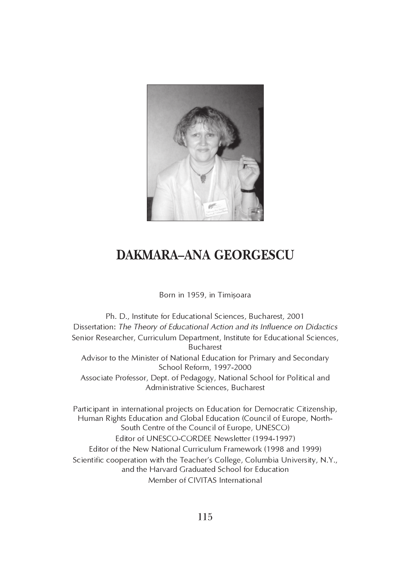

# DAKMARA–ANA GEORGESCU

## Born in 1959, in Timișoara

Ph. D., Institute for Educational Sciences, Bucharest, 2001 Dissertation: The Theory of Educational Action and its Influence on Didactics Senior Researcher, Curriculum Department, Institute for Educational Sciences, Bucharest Advisor to the Minister of National Education for Primary and Secondary School Reform, 1997-2000 Associate Professor, Dept. of Pedagogy, National School for Political and Administrative Sciences, Bucharest Participant in international projects on Education for Democratic Citizenship, Human Rights Education and Global Education (Council of Europe, North-South Centre of the Council of Europe, UNESCO) Editor of UNESCO-CORDEE Newsletter (1994-1997) Editor of the New National Curriculum Framework (1998 and 1999) Scientific cooperation with the Teacher's College, Columbia University, N.Y., and the Harvard Graduated School for Education Member of CIVITAS International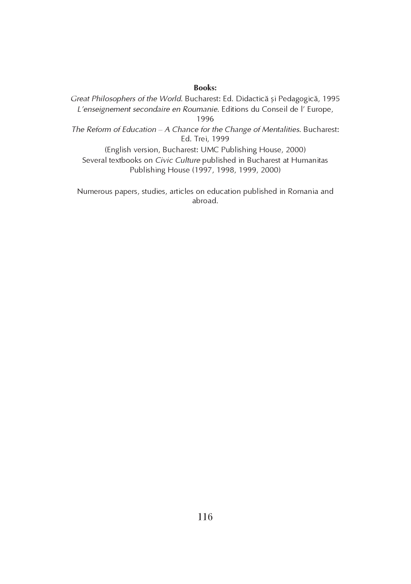Books:

Great Philosophers of the World. Bucharest: Ed. Didactică și Pedagogică, 1995 L'enseignement secondaire en Roumanie. Editions du Conseil de l' Europe, 1996

The Reform of Education – A Chance for the Change of Mentalities. Bucharest: Ed. Trei, 1999

(English version, Bucharest: UMC Publishing House, 2000) Several textbooks on Civic Culture published in Bucharest at Humanitas Publishing House (1997, 1998, 1999, 2000)

Numerous papers, studies, articles on education published in Romania and abroad.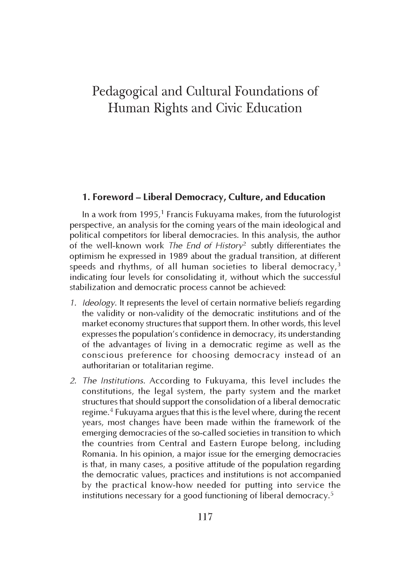## Pedagogical and Cultural Foundations of Human Rights and Civic Education

## 1. Foreword – Liberal Democracy, Culture, and Education

In a work from  $1995<sup>1</sup>$  Francis Fukuyama makes, from the futurologist perspective, an analysis for the coming years of the main ideological and political competitors for liberal democracies. In this analysis, the author of the well-known work The End of History<sup>2</sup> subtly differentiates the optimism he expressed in 1989 about the gradual transition, at different speeds and rhythms, of all human societies to liberal democracy, $3$ indicating four levels for consolidating it, without which the successful stabilization and democratic process cannot be achieved:

- 1. Ideology. It represents the level of certain normative beliefs regarding the validity or non-validity of the democratic institutions and of the market economy structures that support them. In other words, this level expresses the population's confidence in democracy, its understanding of the advantages of living in a democratic regime as well as the conscious preference for choosing democracy instead of an authoritarian or totalitarian regime.
- 2. The Institutions. According to Fukuyama, this level includes the constitutions, the legal system, the party system and the market structures that should support the consolidation of a liberal democratic regime.<sup>4</sup> Fukuyama argues that this is the level where, during the recent years, most changes have been made within the framework of the emerging democracies of the so-called societies in transition to which the countries from Central and Eastern Europe belong, including Romania. In his opinion, a major issue for the emerging democracies is that, in many cases, a positive attitude of the population regarding the democratic values, practices and institutions is not accompanied by the practical know-how needed for putting into service the institutions necessary for a good functioning of liberal democracy.<sup>5</sup>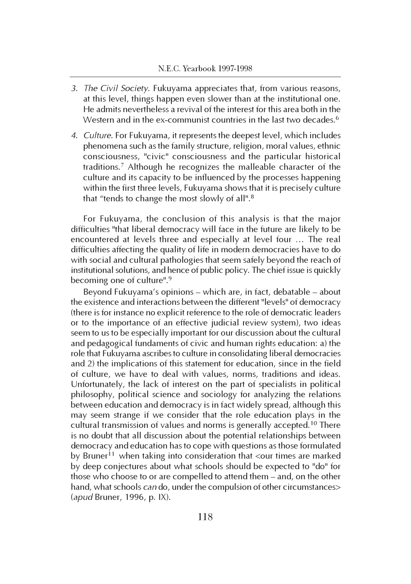- 3. The Civil Society. Fukuyama appreciates that, from various reasons, at this level, things happen even slower than at the institutional one. He admits nevertheless a revival of the interest for this area both in the Western and in the ex-communist countries in the last two decades.<sup>6</sup>
- 4. Culture. For Fukuyama, it represents the deepest level, which includes phenomena such as the family structure, religion, moral values, ethnic consciousness, "civic" consciousness and the particular historical traditions.<sup>7</sup> Although he recognizes the malleable character of the culture and its capacity to be influenced by the processes happening within the first three levels, Fukuyama shows that it is precisely culture that "tends to change the most slowly of all".<sup>8</sup>

For Fukuyama, the conclusion of this analysis is that the major difficulties "that liberal democracy will face in the future are likely to be encountered at levels three and especially at level four … The real difficulties affecting the quality of life in modern democracies have to do with social and cultural pathologies that seem safely beyond the reach of institutional solutions, and hence of public policy. The chief issue is quickly becoming one of culture".<sup>9</sup>

Beyond Fukuyama's opinions – which are, in fact, debatable – about the existence and interactions between the different "levels" of democracy (there is for instance no explicit reference to the role of democratic leaders or to the importance of an effective judicial review system), two ideas seem to us to be especially important for our discussion about the cultural and pedagogical fundaments of civic and human rights education: a) the role that Fukuyama ascribes to culture in consolidating liberal democracies and 2) the implications of this statement for education, since in the field of culture, we have to deal with values, norms, traditions and ideas. Unfortunately, the lack of interest on the part of specialists in political philosophy, political science and sociology for analyzing the relations between education and democracy is in fact widely spread, although this may seem strange if we consider that the role education plays in the cultural transmission of values and norms is generally accepted.<sup>10</sup> There is no doubt that all discussion about the potential relationships between democracy and education has to cope with questions as those formulated by Bruner<sup>11</sup> when taking into consideration that <our times are marked by deep conjectures about what schools should be expected to "do" for those who choose to or are compelled to attend them – and, on the other hand, what schools can do, under the compulsion of other circumstances> (apud Bruner, 1996, p. IX).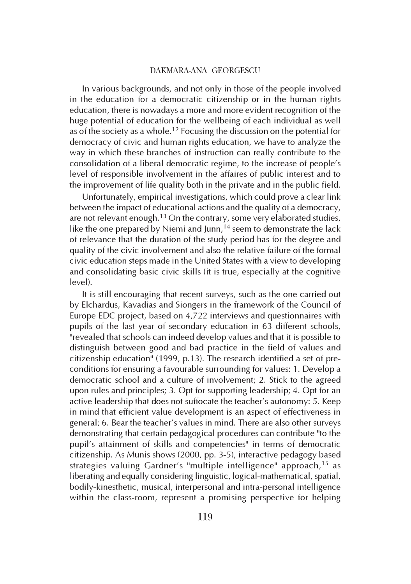In various backgrounds, and not only in those of the people involved in the education for a democratic citizenship or in the human rights education, there is nowadays a more and more evident recognition of the huge potential of education for the wellbeing of each individual as well as of the society as a whole.<sup>12</sup> Focusing the discussion on the potential for democracy of civic and human rights education, we have to analyze the way in which these branches of instruction can really contribute to the consolidation of a liberal democratic regime, to the increase of people's level of responsible involvement in the affaires of public interest and to the improvement of life quality both in the private and in the public field.

Unfortunately, empirical investigations, which could prove a clear link between the impact of educational actions and the quality of a democracy, are not relevant enough.<sup>13</sup> On the contrary, some very elaborated studies, like the one prepared by Niemi and Junn,  $14$  seem to demonstrate the lack of relevance that the duration of the study period has for the degree and quality of the civic involvement and also the relative failure of the formal civic education steps made in the United States with a view to developing and consolidating basic civic skills (it is true, especially at the cognitive level).

It is still encouraging that recent surveys, such as the one carried out by Elchardus, Kavadias and Siongers in the framework of the Council of Europe EDC project, based on 4,722 interviews and questionnaires with pupils of the last year of secondary education in 63 different schools, "revealed that schools can indeed develop values and that it is possible to distinguish between good and bad practice in the field of values and citizenship education" (1999, p.13). The research identified a set of preconditions for ensuring a favourable surrounding for values: 1. Develop a democratic school and a culture of involvement; 2. Stick to the agreed upon rules and principles; 3. Opt for supporting leadership; 4. Opt for an active leadership that does not suffocate the teacher's autonomy: 5. Keep in mind that efficient value development is an aspect of effectiveness in general; 6. Bear the teacher's values in mind. There are also other surveys demonstrating that certain pedagogical procedures can contribute "to the pupil's attainment of skills and competencies" in terms of democratic citizenship. As Munis shows (2000, pp. 3-5), interactive pedagogy based strategies valuing Gardner's "multiple intelligence" approach,<sup>15</sup> as liberating and equally considering linguistic, logical-mathematical, spatial, bodily-kinesthetic, musical, interpersonal and intra-personal intelligence within the class-room, represent a promising perspective for helping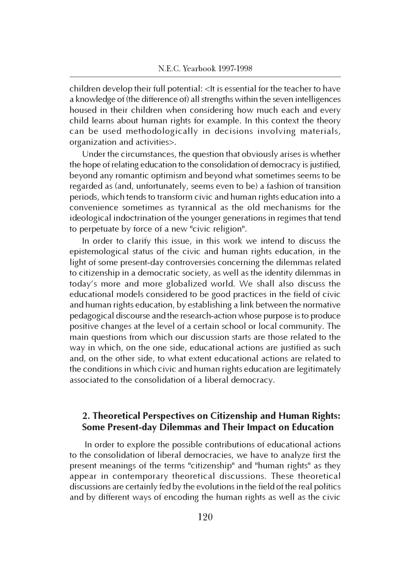children develop their full potential: <It is essential for the teacher to have a knowledge of (the difference of) all strengths within the seven intelligences housed in their children when considering how much each and every child learns about human rights for example. In this context the theory can be used methodologically in decisions involving materials, organization and activities>.

Under the circumstances, the question that obviously arises is whether the hope of relating education to the consolidation of democracy is justified, beyond any romantic optimism and beyond what sometimes seems to be regarded as (and, unfortunately, seems even to be) a fashion of transition periods, which tends to transform civic and human rights education into a convenience sometimes as tyrannical as the old mechanisms for the ideological indoctrination of the younger generations in regimes that tend to perpetuate by force of a new "civic religion".

In order to clarify this issue, in this work we intend to discuss the epistemological status of the civic and human rights education, in the light of some present-day controversies concerning the dilemmas related to citizenship in a democratic society, as well as the identity dilemmas in today's more and more globalized world. We shall also discuss the educational models considered to be good practices in the field of civic and human rights education, by establishing a link between the normative pedagogical discourse and the research-action whose purpose is to produce positive changes at the level of a certain school or local community. The main questions from which our discussion starts are those related to the way in which, on the one side, educational actions are justified as such and, on the other side, to what extent educational actions are related to the conditions in which civic and human rights education are legitimately associated to the consolidation of a liberal democracy.

## 2. Theoretical Perspectives on Citizenship and Human Rights: Some Present-day Dilemmas and Their Impact on Education

 In order to explore the possible contributions of educational actions to the consolidation of liberal democracies, we have to analyze first the present meanings of the terms "citizenship" and "human rights" as they appear in contemporary theoretical discussions. These theoretical discussions are certainly fed by the evolutions in the field of the real politics and by different ways of encoding the human rights as well as the civic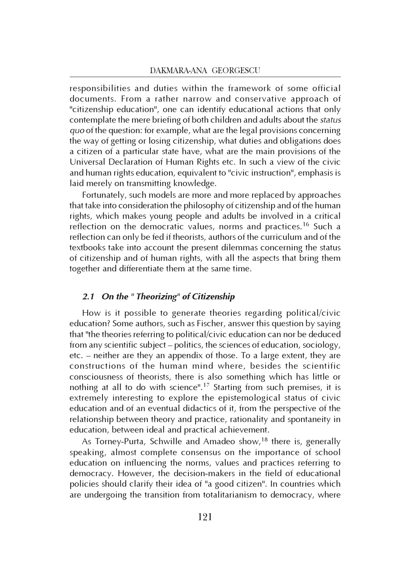responsibilities and duties within the framework of some official documents. From a rather narrow and conservative approach of "citizenship education", one can identify educational actions that only contemplate the mere briefing of both children and adults about the status quo of the question: for example, what are the legal provisions concerning the way of getting or losing citizenship, what duties and obligations does a citizen of a particular state have, what are the main provisions of the Universal Declaration of Human Rights etc. In such a view of the civic and human rights education, equivalent to "civic instruction", emphasis is laid merely on transmitting knowledge.

Fortunately, such models are more and more replaced by approaches that take into consideration the philosophy of citizenship and of the human rights, which makes young people and adults be involved in a critical reflection on the democratic values, norms and practices.<sup>16</sup> Such a reflection can only be fed if theorists, authors of the curriculum and of the textbooks take into account the present dilemmas concerning the status of citizenship and of human rights, with all the aspects that bring them together and differentiate them at the same time.

## 2.1 On the " Theorizing" of Citizenship

How is it possible to generate theories regarding political/civic education? Some authors, such as Fischer, answer this question by saying that "the theories referring to political/civic education can nor be deduced from any scientific subject – politics, the sciences of education, sociology, etc. – neither are they an appendix of those. To a large extent, they are constructions of the human mind where, besides the scientific consciousness of theorists, there is also something which has little or nothing at all to do with science".<sup>17</sup> Starting from such premises, it is extremely interesting to explore the epistemological status of civic education and of an eventual didactics of it, from the perspective of the relationship between theory and practice, rationality and spontaneity in education, between ideal and practical achievement.

As Torney-Purta, Schwille and Amadeo show,<sup>18</sup> there is, generally speaking, almost complete consensus on the importance of school education on influencing the norms, values and practices referring to democracy. However, the decision-makers in the field of educational policies should clarify their idea of "a good citizen". In countries which are undergoing the transition from totalitarianism to democracy, where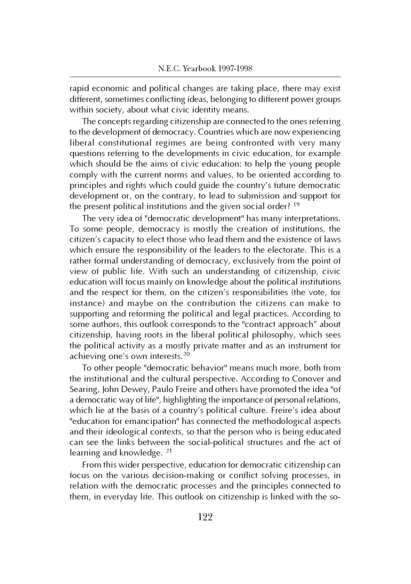rapid economic and political changes are taking place, there may exist different, sometimes conflicting ideas, belonging to different power groups within society, about what civic identity means.

The concepts regarding citizenship are connected to the ones referring to the development of democracy. Countries which are now experiencing liberal constitutional regimes are being confronted with very many questions referring to the developments in civic education, for example which should be the aims of civic education: to help the young people comply with the current norms and values, to be oriented according to principles and rights which could guide the country's future democratic development or, on the contrary, to lead to submission and support for the present political institutions and the given social order?<sup>19</sup>

The very idea of "democratic development" has many interpretations. To some people, democracy is mostly the creation of institutions, the citizen's capacity to elect those who lead them and the existence of laws which ensure the responsibility of the leaders to the electorate. This is a rather formal understanding of democracy, exclusively from the point of view of public life. With such an understanding of citizenship, civic education will focus mainly on knowledge about the political institutions and the respect for them, on the citizen's responsibilities (the vote, for instance) and maybe on the contribution the citizens can make to supporting and reforming the political and legal practices. According to some authors, this outlook corresponds to the "contract approach" about citizenship, having roots in the liberal political philosophy, which sees the political activity as a mostly private matter and as an instrument for achieving one's own interests.<sup>20</sup>

To other people "democratic behavior" means much more, both from the institutional and the cultural perspective. According to Conover and Searing, John Dewey, Paulo Freire and others have promoted the idea "of a democratic way of life", highlighting the importance of personal relations, which lie at the basis of a country's political culture. Freire's idea about "education for emancipation" has connected the methodological aspects and their ideological contexts, so that the person who is being educated can see the links between the social-political structures and the act of learning and knowledge. <sup>21</sup>

From this wider perspective, education for democratic citizenship can focus on the various decision-making or conflict solving processes, in relation with the democratic processes and the principles connected to them, in everyday life. This outlook on citizenship is linked with the so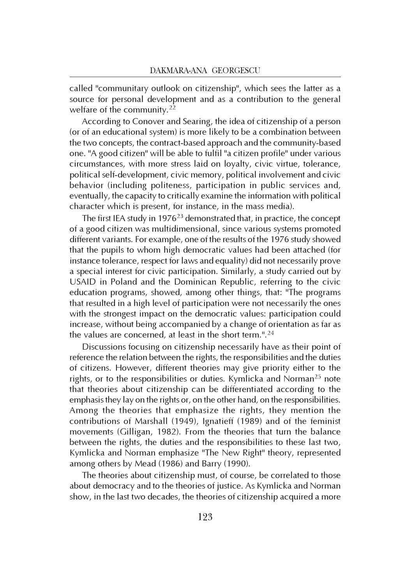called "communitary outlook on citizenship", which sees the latter as a source for personal development and as a contribution to the general welfare of the community.<sup>22</sup>

According to Conover and Searing, the idea of citizenship of a person (or of an educational system) is more likely to be a combination between the two concepts, the contract-based approach and the community-based one. "A good citizen" will be able to fulfil "a citizen profile" under various circumstances, with more stress laid on loyalty, civic virtue, tolerance, political self-development, civic memory, political involvement and civic behavior (including politeness, participation in public services and, eventually, the capacity to critically examine the information with political character which is present, for instance, in the mass media).

The first IEA study in 1976<sup>23</sup> demonstrated that, in practice, the concept of a good citizen was multidimensional, since various systems promoted different variants. For example, one of the results of the 1976 study showed that the pupils to whom high democratic values had been attached (for instance tolerance, respect for laws and equality) did not necessarily prove a special interest for civic participation. Similarly, a study carried out by USAID in Poland and the Dominican Republic, referring to the civic education programs, showed, among other things, that: "The programs that resulted in a high level of participation were not necessarily the ones with the strongest impact on the democratic values: participation could increase, without being accompanied by a change of orientation as far as the values are concerned, at least in the short term.".<sup>24</sup>

Discussions focusing on citizenship necessarily have as their point of reference the relation between the rights, the responsibilities and the duties of citizens. However, different theories may give priority either to the rights, or to the responsibilities or duties. Kymlicka and Norman<sup>25</sup> note that theories about citizenship can be differentiated according to the emphasis they lay on the rights or, on the other hand, on the responsibilities. Among the theories that emphasize the rights, they mention the contributions of Marshall (1949), Ignatieff (1989) and of the feminist movements (Gilligan, 1982). From the theories that turn the balance between the rights, the duties and the responsibilities to these last two, Kymlicka and Norman emphasize "The New Right" theory, represented among others by Mead (1986) and Barry (1990).

The theories about citizenship must, of course, be correlated to those about democracy and to the theories of justice. As Kymlicka and Norman show, in the last two decades, the theories of citizenship acquired a more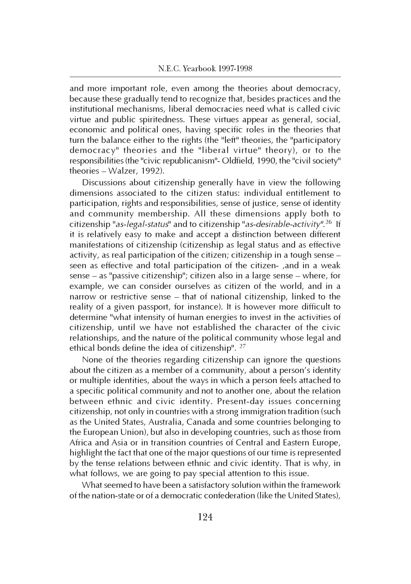and more important role, even among the theories about democracy, because these gradually tend to recognize that, besides practices and the institutional mechanisms, liberal democracies need what is called civic virtue and public spiritedness. These virtues appear as general, social, economic and political ones, having specific roles in the theories that turn the balance either to the rights (the "left" theories, the "participatory democracy" theories and the "liberal virtue" theory), or to the responsibilities (the "civic republicanism"- Oldfield, 1990, the "civil society" theories – Walzer, 1992).

Discussions about citizenship generally have in view the following dimensions associated to the citizen status: individual entitlement to participation, rights and responsibilities, sense of justice, sense of identity and community membership. All these dimensions apply both to citizenship "*as-legal-status*" and to citizenship "*as-desirable-activity".<sup>26</sup> If* it is relatively easy to make and accept a distinction between different manifestations of citizenship (citizenship as legal status and as effective activity, as real participation of the citizen; citizenship in a tough sense – seen as effective and total participation of the citizen- ,and in a weak sense – as "passive citizenship"; citizen also in a large sense – where, for example, we can consider ourselves as citizen of the world, and in a narrow or restrictive sense – that of national citizenship, linked to the reality of a given passport, for instance). It is however more difficult to determine "what intensity of human energies to invest in the activities of citizenship, until we have not established the character of the civic relationships, and the nature of the political community whose legal and ethical bonds define the idea of citizenship". <sup>27</sup>

None of the theories regarding citizenship can ignore the questions about the citizen as a member of a community, about a person's identity or multiple identities, about the ways in which a person feels attached to a specific political community and not to another one, about the relation between ethnic and civic identity. Present-day issues concerning citizenship, not only in countries with a strong immigration tradition (such as the United States, Australia, Canada and some countries belonging to the European Union), but also in developing countries, such as those from Africa and Asia or in transition countries of Central and Eastern Europe, highlight the fact that one of the major questions of our time is represented by the tense relations between ethnic and civic identity. That is why, in what follows, we are going to pay special attention to this issue.

What seemed to have been a satisfactory solution within the framework of the nation-state or of a democratic confederation (like the United States),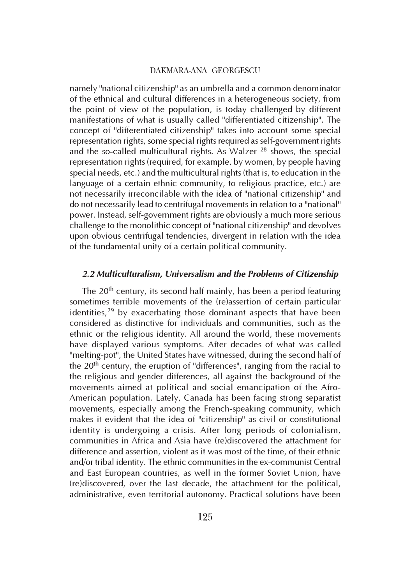namely "national citizenship" as an umbrella and a common denominator of the ethnical and cultural differences in a heterogeneous society, from the point of view of the population, is today challenged by different manifestations of what is usually called "differentiated citizenship". The concept of "differentiated citizenship" takes into account some special representation rights, some special rights required as self-government rights and the so-called multicultural rights. As Walzer <sup>28</sup> shows, the special representation rights (required, for example, by women, by people having special needs, etc.) and the multicultural rights (that is, to education in the language of a certain ethnic community, to religious practice, etc.) are not necessarily irreconcilable with the idea of "national citizenship" and do not necessarily lead to centrifugal movements in relation to a "national" power. Instead, self-government rights are obviously a much more serious challenge to the monolithic concept of "national citizenship" and devolves upon obvious centrifugal tendencies, divergent in relation with the idea of the fundamental unity of a certain political community.

## 2.2 Multiculturalism, Universalism and the Problems of Citizenship

The 20<sup>th</sup> century, its second half mainly, has been a period featuring sometimes terrible movements of the (re)assertion of certain particular identities,<sup>29</sup> by exacerbating those dominant aspects that have been considered as distinctive for individuals and communities, such as the ethnic or the religious identity. All around the world, these movements have displayed various symptoms. After decades of what was called "melting-pot", the United States have witnessed, during the second half of the 20<sup>th</sup> century, the eruption of "differences", ranging from the racial to the religious and gender differences, all against the background of the movements aimed at political and social emancipation of the Afro-American population. Lately, Canada has been facing strong separatist movements, especially among the French-speaking community, which makes it evident that the idea of "citizenship" as civil or constitutional identity is undergoing a crisis. After long periods of colonialism, communities in Africa and Asia have (re)discovered the attachment for difference and assertion, violent as it was most of the time, of their ethnic and/or tribal identity. The ethnic communities in the ex-communist Central and East European countries, as well in the former Soviet Union, have (re)discovered, over the last decade, the attachment for the political, administrative, even territorial autonomy. Practical solutions have been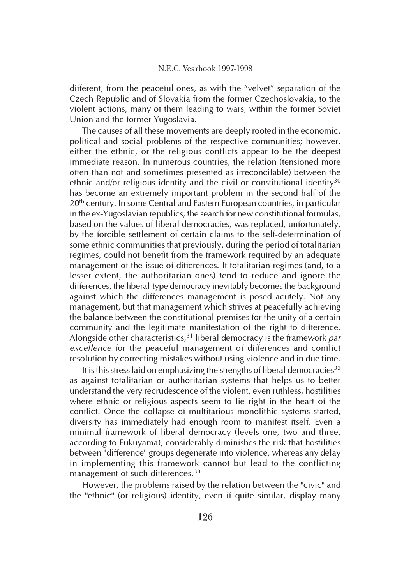different, from the peaceful ones, as with the "velvet" separation of the Czech Republic and of Slovakia from the former Czechoslovakia, to the violent actions, many of them leading to wars, within the former Soviet Union and the former Yugoslavia.

The causes of all these movements are deeply rooted in the economic, political and social problems of the respective communities; however, either the ethnic, or the religious conflicts appear to be the deepest immediate reason. In numerous countries, the relation (tensioned more often than not and sometimes presented as irreconcilable) between the ethnic and/or religious identity and the civil or constitutional identity<sup>30</sup> has become an extremely important problem in the second half of the 20<sup>th</sup> century. In some Central and Eastern European countries, in particular in the ex-Yugoslavian republics, the search for new constitutional formulas, based on the values of liberal democracies, was replaced, unfortunately, by the forcible settlement of certain claims to the self-determination of some ethnic communities that previously, during the period of totalitarian regimes, could not benefit from the framework required by an adequate management of the issue of differences. If totalitarian regimes (and, to a lesser extent, the authoritarian ones) tend to reduce and ignore the differences, the liberal-type democracy inevitably becomes the background against which the differences management is posed acutely. Not any management, but that management which strives at peacefully achieving the balance between the constitutional premises for the unity of a certain community and the legitimate manifestation of the right to difference. Alongside other characteristics,  $31$  liberal democracy is the framework par excellence for the peaceful management of differences and conflict resolution by correcting mistakes without using violence and in due time.

It is this stress laid on emphasizing the strengths of liberal democracies<sup>32</sup> as against totalitarian or authoritarian systems that helps us to better understand the very recrudescence of the violent, even ruthless, hostilities where ethnic or religious aspects seem to lie right in the heart of the conflict. Once the collapse of multifarious monolithic systems started, diversity has immediately had enough room to manifest itself. Even a minimal framework of liberal democracy (levels one, two and three, according to Fukuyama), considerably diminishes the risk that hostilities between "difference" groups degenerate into violence, whereas any delay in implementing this framework cannot but lead to the conflicting management of such differences.<sup>33</sup>

However, the problems raised by the relation between the "civic" and the "ethnic" (or religious) identity, even if quite similar, display many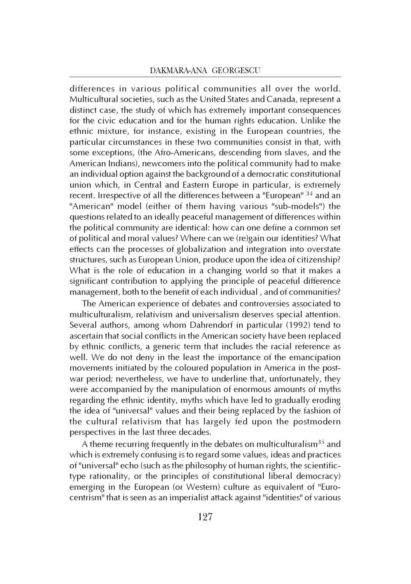differences in various political communities all over the world. Multicultural societies, such as the United States and Canada, represent a distinct case, the study of which has extremely important consequences for the civic education and for the human rights education. Unlike the ethnic mixture, for instance, existing in the European countries, the particular circumstances in these two communities consist in that, with some exceptions, (the Afro-Americans, descending from slaves, and the American Indians), newcomers into the political community had to make an individual option against the background of a democratic constitutional union which, in Central and Eastern Europe in particular, is extremely recent. Irrespective of all the differences between a "European" <sup>34</sup> and an "American" model (either of them having various "sub-models") the questions related to an ideally peaceful management of differences within the political community are identical: how can one define a common set of political and moral values? Where can we (re)gain our identities? What effects can the processes of globalization and integration into overstate structures, such as European Union, produce upon the idea of citizenship? What is the role of education in a changing world so that it makes a significant contribution to applying the principle of peaceful difference management, both to the benefit of each individual , and of communities?

The American experience of debates and controversies associated to multiculturalism, relativism and universalism deserves special attention. Several authors, among whom Dahrendorf in particular (1992) tend to ascertain that social conflicts in the American society have been replaced by ethnic conflicts, a generic term that includes the racial reference as well. We do not deny in the least the importance of the emancipation movements initiated by the coloured population in America in the postwar period; nevertheless, we have to underline that, unfortunately, they were accompanied by the manipulation of enormous amounts of myths regarding the ethnic identity, myths which have led to gradually eroding the idea of "universal" values and their being replaced by the fashion of the cultural relativism that has largely fed upon the postmodern perspectives in the last three decades.

A theme recurring frequently in the debates on multiculturalism<sup>35</sup> and which is extremely confusing is to regard some values, ideas and practices of "universal" echo (such as the philosophy of human rights, the scientifictype rationality, or the principles of constitutional liberal democracy) emerging in the European (or Western) culture as equivalent of "Eurocentrism" that is seen as an imperialist attack against "identities" of various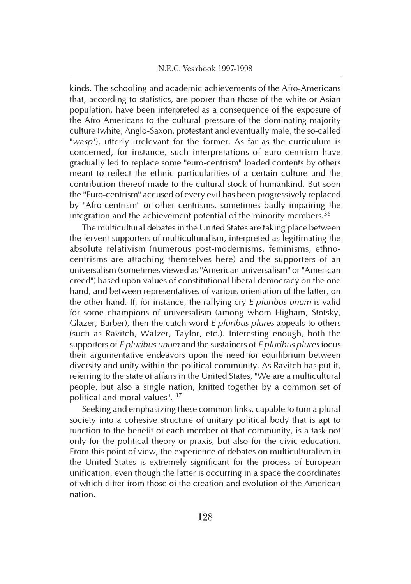kinds. The schooling and academic achievements of the Afro-Americans that, according to statistics, are poorer than those of the white or Asian population, have been interpreted as a consequence of the exposure of the Afro-Americans to the cultural pressure of the dominating-majority culture (white, Anglo-Saxon, protestant and eventually male, the so-called "wasp"), utterly irrelevant for the former. As far as the curriculum is concerned, for instance, such interpretations of euro-centrism have gradually led to replace some "euro-centrism" loaded contents by others meant to reflect the ethnic particularities of a certain culture and the contribution thereof made to the cultural stock of humankind. But soon the "Euro-centrism" accused of every evil has been progressively replaced by "Afro-centrism" or other centrisms, sometimes badly impairing the integration and the achievement potential of the minority members.<sup>36</sup>

The multicultural debates in the United States are taking place between the fervent supporters of multiculturalism, interpreted as legitimating the absolute relativism (numerous post-modernisms, feminisms, ethnocentrisms are attaching themselves here) and the supporters of an universalism (sometimes viewed as "American universalism" or "American creed") based upon values of constitutional liberal democracy on the one hand, and between representatives of various orientation of the latter, on the other hand. If, for instance, the rallying  $\text{cry } E$  pluribus unum is valid for some champions of universalism (among whom Higham, Stotsky, Glazer, Barber), then the catch word E pluribus plures appeals to others (such as Ravitch, Walzer, Taylor, etc.). Interesting enough, both the supporters of E pluribus unum and the sustainers of E pluribus plures focus their argumentative endeavors upon the need for equilibrium between diversity and unity within the political community. As Ravitch has put it, referring to the state of affairs in the United States, "We are a multicultural people, but also a single nation, knitted together by a common set of political and moral values". <sup>37</sup>

Seeking and emphasizing these common links, capable to turn a plural society into a cohesive structure of unitary political body that is apt to function to the benefit of each member of that community, is a task not only for the political theory or praxis, but also for the civic education. From this point of view, the experience of debates on multiculturalism in the United States is extremely significant for the process of European unification, even though the latter is occurring in a space the coordinates of which differ from those of the creation and evolution of the American nation.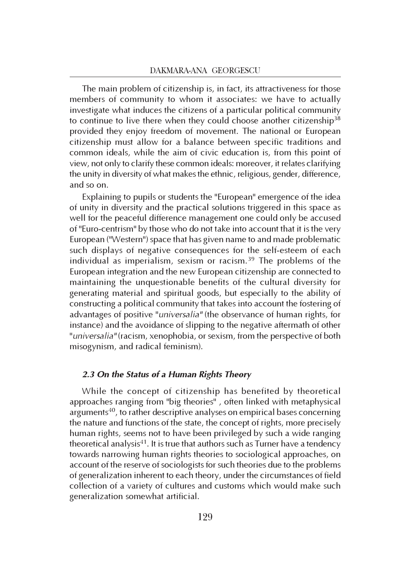The main problem of citizenship is, in fact, its attractiveness for those members of community to whom it associates: we have to actually investigate what induces the citizens of a particular political community to continue to live there when they could choose another citizenship<sup>38</sup> provided they enjoy freedom of movement. The national or European citizenship must allow for a balance between specific traditions and common ideals, while the aim of civic education is, from this point of view, not only to clarify these common ideals: moreover, it relates clarifying the unity in diversity of what makes the ethnic, religious, gender, difference, and so on.

Explaining to pupils or students the "European" emergence of the idea of unity in diversity and the practical solutions triggered in this space as well for the peaceful difference management one could only be accused of "Euro-centrism" by those who do not take into account that it is the very European ("Western") space that has given name to and made problematic such displays of negative consequences for the self-esteem of each individual as imperialism, sexism or racism.<sup>39</sup> The problems of the European integration and the new European citizenship are connected to maintaining the unquestionable benefits of the cultural diversity for generating material and spiritual goods, but especially to the ability of constructing a political community that takes into account the fostering of advantages of positive "universalia" (the observance of human rights, for instance) and the avoidance of slipping to the negative aftermath of other "universalia" (racism, xenophobia, or sexism, from the perspective of both misogynism, and radical feminism).

## 2.3 On the Status of a Human Rights Theory

While the concept of citizenship has benefited by theoretical approaches ranging from "big theories" , often linked with metaphysical arguments<sup>40</sup>, to rather descriptive analyses on empirical bases concerning the nature and functions of the state, the concept of rights, more precisely human rights, seems not to have been privileged by such a wide ranging theoretical analysis<sup>41</sup>. It is true that authors such as Turner have a tendency towards narrowing human rights theories to sociological approaches, on account of the reserve of sociologists for such theories due to the problems of generalization inherent to each theory, under the circumstances of field collection of a variety of cultures and customs which would make such generalization somewhat artificial.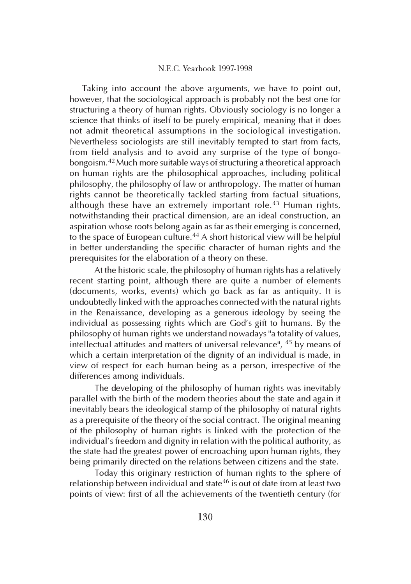Taking into account the above arguments, we have to point out, however, that the sociological approach is probably not the best one for structuring a theory of human rights. Obviously sociology is no longer a science that thinks of itself to be purely empirical, meaning that it does not admit theoretical assumptions in the sociological investigation. Nevertheless sociologists are still inevitably tempted to start from facts, from field analysis and to avoid any surprise of the type of bongobongoism.<sup>42</sup>Much more suitable ways of structuring a theoretical approach on human rights are the philosophical approaches, including political philosophy, the philosophy of law or anthropology. The matter of human rights cannot be theoretically tackled starting from factual situations, although these have an extremely important role.<sup>43</sup> Human rights, notwithstanding their practical dimension, are an ideal construction, an aspiration whose roots belong again as far as their emerging is concerned, to the space of European culture.<sup>44</sup> A short historical view will be helpful in better understanding the specific character of human rights and the prerequisites for the elaboration of a theory on these.

At the historic scale, the philosophy of human rights has a relatively recent starting point, although there are quite a number of elements (documents, works, events) which go back as far as antiquity. It is undoubtedly linked with the approaches connected with the natural rights in the Renaissance, developing as a generous ideology by seeing the individual as possessing rights which are God's gift to humans. By the philosophy of human rights we understand nowadays "a totality of values, intellectual attitudes and matters of universal relevance", <sup>45</sup> by means of which a certain interpretation of the dignity of an individual is made, in view of respect for each human being as a person, irrespective of the differences among individuals.

The developing of the philosophy of human rights was inevitably parallel with the birth of the modern theories about the state and again it inevitably bears the ideological stamp of the philosophy of natural rights as a prerequisite of the theory of the social contract. The original meaning of the philosophy of human rights is linked with the protection of the individual's freedom and dignity in relation with the political authority, as the state had the greatest power of encroaching upon human rights, they being primarily directed on the relations between citizens and the state.

Today this originary restriction of human rights to the sphere of relationship between individual and state<sup>46</sup> is out of date from at least two points of view: first of all the achievements of the twentieth century (for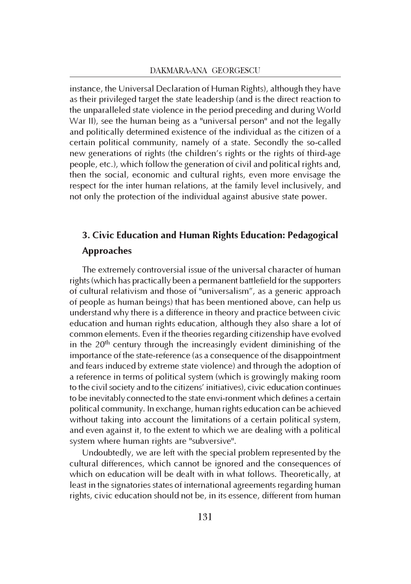instance, the Universal Declaration of Human Rights), although they have as their privileged target the state leadership (and is the direct reaction to the unparalleled state violence in the period preceding and during World War II), see the human being as a "universal person" and not the legally and politically determined existence of the individual as the citizen of a certain political community, namely of a state. Secondly the so-called new generations of rights (the children's rights or the rights of third-age people, etc.), which follow the generation of civil and political rights and, then the social, economic and cultural rights, even more envisage the respect for the inter human relations, at the family level inclusively, and not only the protection of the individual against abusive state power.

## 3. Civic Education and Human Rights Education: Pedagogical Approaches

The extremely controversial issue of the universal character of human rights (which has practically been a permanent battlefield for the supporters of cultural relativism and those of "universalism", as a generic approach of people as human beings) that has been mentioned above, can help us understand why there is a difference in theory and practice between civic education and human rights education, although they also share a lot of common elements. Even if the theories regarding citizenship have evolved in the  $20<sup>th</sup>$  century through the increasingly evident diminishing of the importance of the state-reference (as a consequence of the disappointment and fears induced by extreme state violence) and through the adoption of a reference in terms of political system (which is growingly making room to the civil society and to the citizens' initiatives), civic education continues to be inevitably connected to the state envi-ronment which defines a certain political community. In exchange, human rights education can be achieved without taking into account the limitations of a certain political system, and even against it, to the extent to which we are dealing with a political system where human rights are "subversive".

Undoubtedly, we are left with the special problem represented by the cultural differences, which cannot be ignored and the consequences of which on education will be dealt with in what follows. Theoretically, at least in the signatories states of international agreements regarding human rights, civic education should not be, in its essence, different from human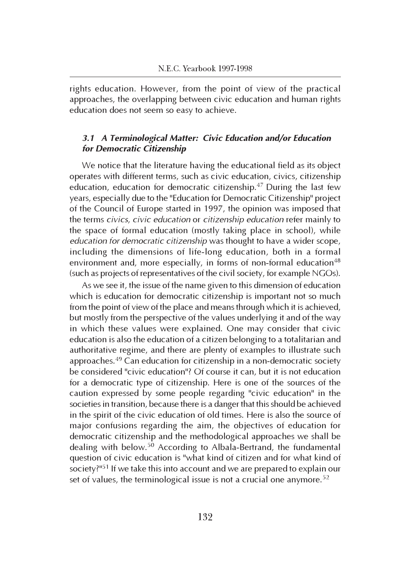rights education. However, from the point of view of the practical approaches, the overlapping between civic education and human rights education does not seem so easy to achieve.

## 3.1 A Terminological Matter: Civic Education and/or Education for Democratic Citizenship

We notice that the literature having the educational field as its object operates with different terms, such as civic education, civics, citizenship education, education for democratic citizenship.<sup>47</sup> During the last few years, especially due to the "Education for Democratic Citizenship" project of the Council of Europe started in 1997, the opinion was imposed that the terms civics, civic education or citizenship education refer mainly to the space of formal education (mostly taking place in school), while education for democratic citizenship was thought to have a wider scope, including the dimensions of life-long education, both in a formal environment and, more especially, in forms of non-formal education<sup>48</sup> (such as projects of representatives of the civil society, for example NGOs).

As we see it, the issue of the name given to this dimension of education which is education for democratic citizenship is important not so much from the point of view of the place and means through which it is achieved, but mostly from the perspective of the values underlying it and of the way in which these values were explained. One may consider that civic education is also the education of a citizen belonging to a totalitarian and authoritative regime, and there are plenty of examples to illustrate such approaches.<sup>49</sup> Can education for citizenship in a non-democratic society be considered "civic education"? Of course it can, but it is not education for a democratic type of citizenship. Here is one of the sources of the caution expressed by some people regarding "civic education" in the societies in transition, because there is a danger that this should be achieved in the spirit of the civic education of old times. Here is also the source of major confusions regarding the aim, the objectives of education for democratic citizenship and the methodological approaches we shall be dealing with below.<sup>50</sup> According to Albala-Bertrand, the fundamental question of civic education is "what kind of citizen and for what kind of society? $151$  If we take this into account and we are prepared to explain our set of values, the terminological issue is not a crucial one anymore.<sup>52</sup>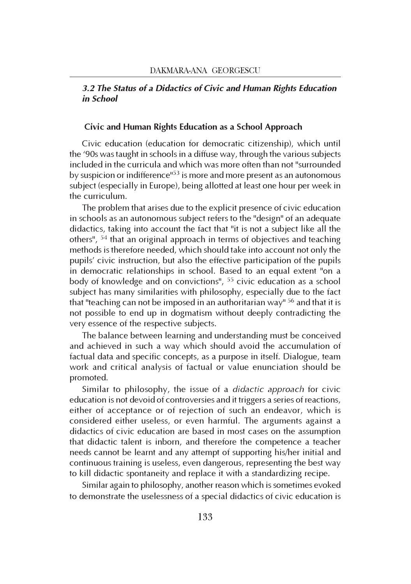## 3.2 The Status of a Didactics of Civic and Human Rights Education in School

#### Civic and Human Rights Education as a School Approach

Civic education (education for democratic citizenship), which until the '90s was taught in schools in a diffuse way, through the various subjects included in the curricula and which was more often than not "surrounded by suspicion or indifference<sup>153</sup> is more and more present as an autonomous subject (especially in Europe), being allotted at least one hour per week in the curriculum.

The problem that arises due to the explicit presence of civic education in schools as an autonomous subject refers to the "design" of an adequate didactics, taking into account the fact that "it is not a subject like all the others", <sup>54</sup> that an original approach in terms of objectives and teaching methods is therefore needed, which should take into account not only the pupils' civic instruction, but also the effective participation of the pupils in democratic relationships in school. Based to an equal extent "on a body of knowledge and on convictions", <sup>55</sup> civic education as a school subject has many similarities with philosophy, especially due to the fact that "teaching can not be imposed in an authoritarian way"  $56$  and that it is not possible to end up in dogmatism without deeply contradicting the very essence of the respective subjects.

The balance between learning and understanding must be conceived and achieved in such a way which should avoid the accumulation of factual data and specific concepts, as a purpose in itself. Dialogue, team work and critical analysis of factual or value enunciation should be promoted.

Similar to philosophy, the issue of a didactic approach for civic education is not devoid of controversies and it triggers a series of reactions, either of acceptance or of rejection of such an endeavor, which is considered either useless, or even harmful. The arguments against a didactics of civic education are based in most cases on the assumption that didactic talent is inborn, and therefore the competence a teacher needs cannot be learnt and any attempt of supporting his/her initial and continuous training is useless, even dangerous, representing the best way to kill didactic spontaneity and replace it with a standardizing recipe.

Similar again to philosophy, another reason which is sometimes evoked to demonstrate the uselessness of a special didactics of civic education is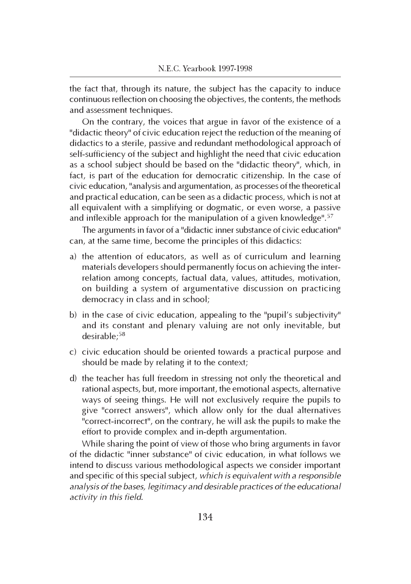the fact that, through its nature, the subject has the capacity to induce continuous reflection on choosing the objectives, the contents, the methods and assessment techniques.

On the contrary, the voices that argue in favor of the existence of a "didactic theory" of civic education reject the reduction of the meaning of didactics to a sterile, passive and redundant methodological approach of self-sufficiency of the subject and highlight the need that civic education as a school subject should be based on the "didactic theory", which, in fact, is part of the education for democratic citizenship. In the case of civic education, "analysis and argumentation, as processes of the theoretical and practical education, can be seen as a didactic process, which is not at all equivalent with a simplifying or dogmatic, or even worse, a passive and inflexible approach for the manipulation of a given knowledge".<sup>57</sup>

The arguments in favor of a "didactic inner substance of civic education" can, at the same time, become the principles of this didactics:

- a) the attention of educators, as well as of curriculum and learning materials developers should permanently focus on achieving the interrelation among concepts, factual data, values, attitudes, motivation, on building a system of argumentative discussion on practicing democracy in class and in school;
- b) in the case of civic education, appealing to the "pupil's subjectivity" and its constant and plenary valuing are not only inevitable, but desirable;<sup>58</sup>
- c) civic education should be oriented towards a practical purpose and should be made by relating it to the context;
- d) the teacher has full freedom in stressing not only the theoretical and rational aspects, but, more important, the emotional aspects, alternative ways of seeing things. He will not exclusively require the pupils to give "correct answers", which allow only for the dual alternatives "correct-incorrect", on the contrary, he will ask the pupils to make the effort to provide complex and in-depth argumentation.

While sharing the point of view of those who bring arguments in favor of the didactic "inner substance" of civic education, in what follows we intend to discuss various methodological aspects we consider important and specific of this special subject, which is equivalent with a responsible analysis of the bases, legitimacy and desirable practices of the educational activity in this field.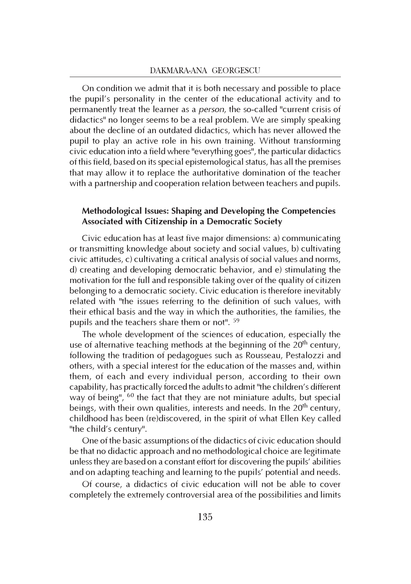On condition we admit that it is both necessary and possible to place the pupil's personality in the center of the educational activity and to permanently treat the learner as a person, the so-called "current crisis of didactics" no longer seems to be a real problem. We are simply speaking about the decline of an outdated didactics, which has never allowed the pupil to play an active role in his own training. Without transforming civic education into a field where "everything goes", the particular didactics of this field, based on its special epistemological status, has all the premises that may allow it to replace the authoritative domination of the teacher with a partnership and cooperation relation between teachers and pupils.

## Methodological Issues: Shaping and Developing the Competencies Associated with Citizenship in a Democratic Society

Civic education has at least five major dimensions: a) communicating or transmitting knowledge about society and social values, b) cultivating civic attitudes, c) cultivating a critical analysis of social values and norms, d) creating and developing democratic behavior, and e) stimulating the motivation for the full and responsible taking over of the quality of citizen belonging to a democratic society. Civic education is therefore inevitably related with "the issues referring to the definition of such values, with their ethical basis and the way in which the authorities, the families, the pupils and the teachers share them or not". <sup>59</sup>

The whole development of the sciences of education, especially the use of alternative teaching methods at the beginning of the 20<sup>th</sup> century, following the tradition of pedagogues such as Rousseau, Pestalozzi and others, with a special interest for the education of the masses and, within them, of each and every individual person, according to their own capability, has practically forced the adults to admit "the children's different way of being", <sup>60</sup> the fact that they are not miniature adults, but special beings, with their own qualities, interests and needs. In the  $20<sup>th</sup>$  century, childhood has been (re)discovered, in the spirit of what Ellen Key called "the child's century".

One of the basic assumptions of the didactics of civic education should be that no didactic approach and no methodological choice are legitimate unless they are based on a constant effort for discovering the pupils' abilities and on adapting teaching and learning to the pupils' potential and needs.

Of course, a didactics of civic education will not be able to cover completely the extremely controversial area of the possibilities and limits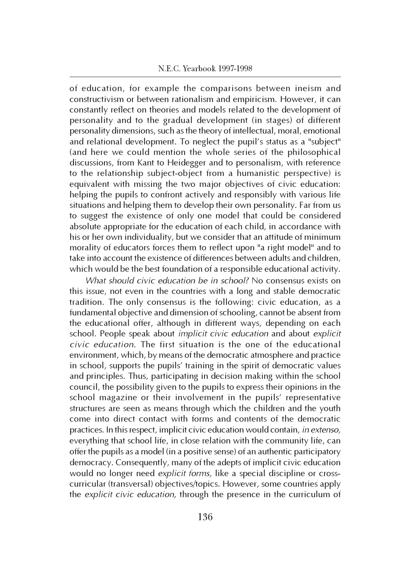of education, for example the comparisons between ineism and constructivism or between rationalism and empiricism. However, it can constantly reflect on theories and models related to the development of personality and to the gradual development (in stages) of different personality dimensions, such as the theory of intellectual, moral, emotional and relational development. To neglect the pupil's status as a "subject" (and here we could mention the whole series of the philosophical discussions, from Kant to Heidegger and to personalism, with reference to the relationship subject-object from a humanistic perspective) is equivalent with missing the two major objectives of civic education: helping the pupils to confront actively and responsibly with various life situations and helping them to develop their own personality. Far from us to suggest the existence of only one model that could be considered absolute appropriate for the education of each child, in accordance with his or her own individuality, but we consider that an attitude of minimum morality of educators forces them to reflect upon "a right model" and to take into account the existence of differences between adults and children, which would be the best foundation of a responsible educational activity.

What should civic education be in school? No consensus exists on this issue, not even in the countries with a long and stable democratic tradition. The only consensus is the following: civic education, as a fundamental objective and dimension of schooling, cannot be absent from the educational offer, although in different ways, depending on each school. People speak about implicit civic education and about explicit civic education. The first situation is the one of the educational environment, which, by means of the democratic atmosphere and practice in school, supports the pupils' training in the spirit of democratic values and principles. Thus, participating in decision making within the school council, the possibility given to the pupils to express their opinions in the school magazine or their involvement in the pupils' representative structures are seen as means through which the children and the youth come into direct contact with forms and contents of the democratic practices. In this respect, implicit civic education would contain, in extenso, everything that school life, in close relation with the community life, can offer the pupils as a model (in a positive sense) of an authentic participatory democracy. Consequently, many of the adepts of implicit civic education would no longer need explicit forms, like a special discipline or crosscurricular (transversal) objectives/topics. However, some countries apply the explicit civic education, through the presence in the curriculum of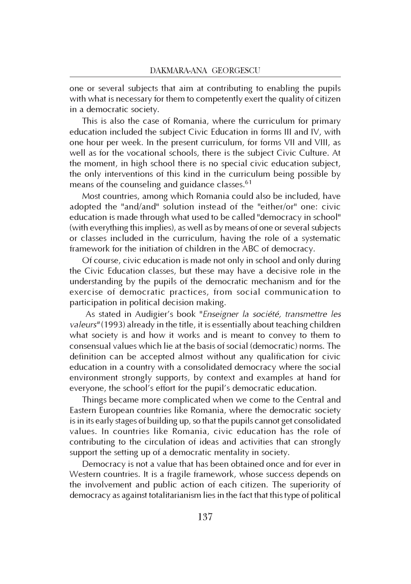one or several subjects that aim at contributing to enabling the pupils with what is necessary for them to competently exert the quality of citizen in a democratic society.

This is also the case of Romania, where the curriculum for primary education included the subject Civic Education in forms III and IV, with one hour per week. In the present curriculum, for forms VII and VIII, as well as for the vocational schools, there is the subject Civic Culture. At the moment, in high school there is no special civic education subject, the only interventions of this kind in the curriculum being possible by means of the counseling and guidance classes.<sup>61</sup>

Most countries, among which Romania could also be included, have adopted the "and/and" solution instead of the "either/or" one: civic education is made through what used to be called "democracy in school" (with everything this implies), as well as by means of one or several subjects or classes included in the curriculum, having the role of a systematic framework for the initiation of children in the ABC of democracy.

Of course, civic education is made not only in school and only during the Civic Education classes, but these may have a decisive role in the understanding by the pupils of the democratic mechanism and for the exercise of democratic practices, from social communication to participation in political decision making.

 As stated in Audigier's book "Enseigner la société, transmettre les valeurs" (1993) already in the title, it is essentially about teaching children what society is and how it works and is meant to convey to them to consensual values which lie at the basis of social (democratic) norms. The definition can be accepted almost without any qualification for civic education in a country with a consolidated democracy where the social environment strongly supports, by context and examples at hand for everyone, the school's effort for the pupil's democratic education.

Things became more complicated when we come to the Central and Eastern European countries like Romania, where the democratic society is in its early stages of building up, so that the pupils cannot get consolidated values. In countries like Romania, civic education has the role of contributing to the circulation of ideas and activities that can strongly support the setting up of a democratic mentality in society.

Democracy is not a value that has been obtained once and for ever in Western countries. It is a fragile framework, whose success depends on the involvement and public action of each citizen. The superiority of democracy as against totalitarianism lies in the fact that this type of political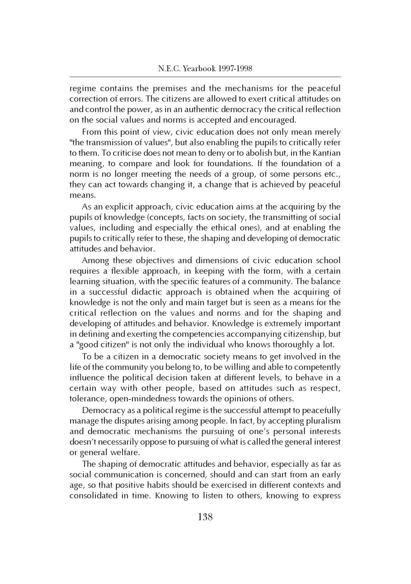regime contains the premises and the mechanisms for the peaceful correction of errors. The citizens are allowed to exert critical attitudes on and control the power, as in an authentic democracy the critical reflection on the social values and norms is accepted and encouraged.

From this point of view, civic education does not only mean merely "the transmission of values", but also enabling the pupils to critically refer to them. To criticise does not mean to deny or to abolish but, in the Kantian meaning, to compare and look for foundations. If the foundation of a norm is no longer meeting the needs of a group, of some persons etc., they can act towards changing it, a change that is achieved by peaceful means.

As an explicit approach, civic education aims at the acquiring by the pupils of knowledge (concepts, facts on society, the transmitting of social values, including and especially the ethical ones), and at enabling the pupils to critically refer to these, the shaping and developing of democratic attitudes and behavior.

Among these objectives and dimensions of civic education school requires a flexible approach, in keeping with the form, with a certain learning situation, with the specific features of a community. The balance in a successful didactic approach is obtained when the acquiring of knowledge is not the only and main target but is seen as a means for the critical reflection on the values and norms and for the shaping and developing of attitudes and behavior. Knowledge is extremely important in defining and exerting the competencies accompanying citizenship, but a "good citizen" is not only the individual who knows thoroughly a lot.

To be a citizen in a democratic society means to get involved in the life of the community you belong to, to be willing and able to competently influence the political decision taken at different levels, to behave in a certain way with other people, based on attitudes such as respect, tolerance, open-mindedness towards the opinions of others.

Democracy as a political regime is the successful attempt to peacefully manage the disputes arising among people. In fact, by accepting pluralism and democratic mechanisms the pursuing of one's personal interests doesn't necessarily oppose to pursuing of what is called the general interest or general welfare.

The shaping of democratic attitudes and behavior, especially as far as social communication is concerned, should and can start from an early age, so that positive habits should be exercised in different contexts and consolidated in time. Knowing to listen to others, knowing to express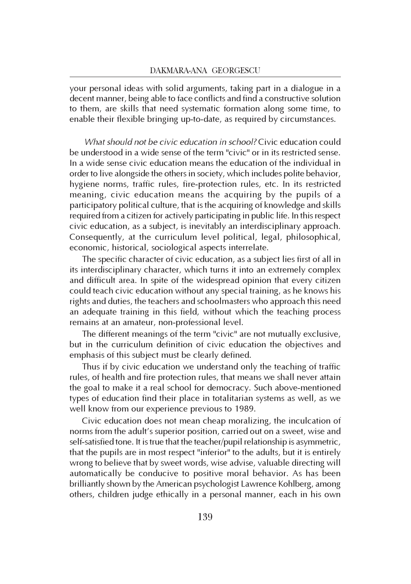your personal ideas with solid arguments, taking part in a dialogue in a decent manner, being able to face conflicts and find a constructive solution to them, are skills that need systematic formation along some time, to enable their flexible bringing up-to-date, as required by circumstances.

What should not be civic education in school? Civic education could be understood in a wide sense of the term "civic" or in its restricted sense. In a wide sense civic education means the education of the individual in order to live alongside the others in society, which includes polite behavior, hygiene norms, traffic rules, fire-protection rules, etc. In its restricted meaning, civic education means the acquiring by the pupils of a participatory political culture, that is the acquiring of knowledge and skills required from a citizen for actively participating in public life. In this respect civic education, as a subject, is inevitably an interdisciplinary approach. Consequently, at the curriculum level political, legal, philosophical, economic, historical, sociological aspects interrelate.

The specific character of civic education, as a subject lies first of all in its interdisciplinary character, which turns it into an extremely complex and difficult area. In spite of the widespread opinion that every citizen could teach civic education without any special training, as he knows his rights and duties, the teachers and schoolmasters who approach this need an adequate training in this field, without which the teaching process remains at an amateur, non-professional level.

The different meanings of the term "civic" are not mutually exclusive, but in the curriculum definition of civic education the objectives and emphasis of this subject must be clearly defined.

Thus if by civic education we understand only the teaching of traffic rules, of health and fire protection rules, that means we shall never attain the goal to make it a real school for democracy. Such above-mentioned types of education find their place in totalitarian systems as well, as we well know from our experience previous to 1989.

Civic education does not mean cheap moralizing, the inculcation of norms from the adult's superior position, carried out on a sweet, wise and self-satisfied tone. It is true that the teacher/pupil relationship is asymmetric, that the pupils are in most respect "inferior" to the adults, but it is entirely wrong to believe that by sweet words, wise advise, valuable directing will automatically be conducive to positive moral behavior. As has been brilliantly shown by the American psychologist Lawrence Kohlberg, among others, children judge ethically in a personal manner, each in his own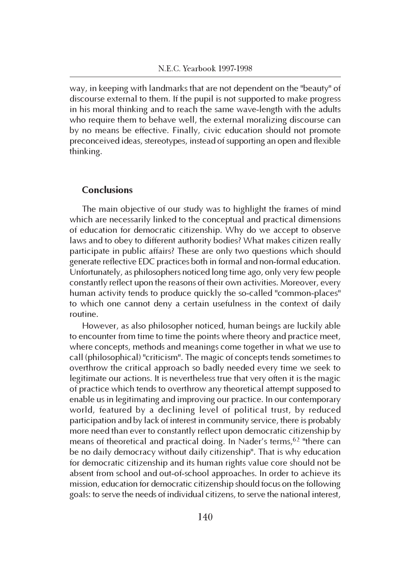way, in keeping with landmarks that are not dependent on the "beauty" of discourse external to them. If the pupil is not supported to make progress in his moral thinking and to reach the same wave-length with the adults who require them to behave well, the external moralizing discourse can by no means be effective. Finally, civic education should not promote preconceived ideas, stereotypes, instead of supporting an open and flexible thinking.

## Conclusions

The main objective of our study was to highlight the frames of mind which are necessarily linked to the conceptual and practical dimensions of education for democratic citizenship. Why do we accept to observe laws and to obey to different authority bodies? What makes citizen really participate in public affairs? These are only two questions which should generate reflective EDC practices both in formal and non-formal education. Unfortunately, as philosophers noticed long time ago, only very few people constantly reflect upon the reasons of their own activities. Moreover, every human activity tends to produce quickly the so-called "common-places" to which one cannot deny a certain usefulness in the context of daily routine.

However, as also philosopher noticed, human beings are luckily able to encounter from time to time the points where theory and practice meet, where concepts, methods and meanings come together in what we use to call (philosophical) "criticism". The magic of concepts tends sometimes to overthrow the critical approach so badly needed every time we seek to legitimate our actions. It is nevertheless true that very often it is the magic of practice which tends to overthrow any theoretical attempt supposed to enable us in legitimating and improving our practice. In our contemporary world, featured by a declining level of political trust, by reduced participation and by lack of interest in community service, there is probably more need than ever to constantly reflect upon democratic citizenship by means of theoretical and practical doing. In Nader's terms,<sup>62</sup> "there can be no daily democracy without daily citizenship". That is why education for democratic citizenship and its human rights value core should not be absent from school and out-of-school approaches. In order to achieve its mission, education for democratic citizenship should focus on the following goals: to serve the needs of individual citizens, to serve the national interest,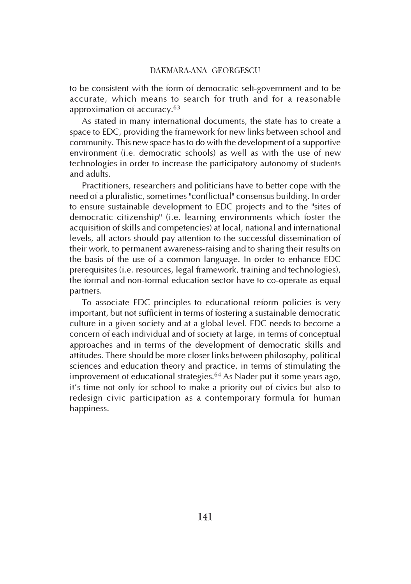to be consistent with the form of democratic self-government and to be accurate, which means to search for truth and for a reasonable approximation of accuracy.<sup>63</sup>

As stated in many international documents, the state has to create a space to EDC, providing the framework for new links between school and community. This new space has to do with the development of a supportive environment (i.e. democratic schools) as well as with the use of new technologies in order to increase the participatory autonomy of students and adults.

Practitioners, researchers and politicians have to better cope with the need of a pluralistic, sometimes "conflictual" consensus building. In order to ensure sustainable development to EDC projects and to the "sites of democratic citizenship" (i.e. learning environments which foster the acquisition of skills and competencies) at local, national and international levels, all actors should pay attention to the successful dissemination of their work, to permanent awareness-raising and to sharing their results on the basis of the use of a common language. In order to enhance EDC prerequisites (i.e. resources, legal framework, training and technologies), the formal and non-formal education sector have to co-operate as equal partners.

To associate EDC principles to educational reform policies is very important, but not sufficient in terms of fostering a sustainable democratic culture in a given society and at a global level. EDC needs to become a concern of each individual and of society at large, in terms of conceptual approaches and in terms of the development of democratic skills and attitudes. There should be more closer links between philosophy, political sciences and education theory and practice, in terms of stimulating the improvement of educational strategies.<sup>64</sup> As Nader put it some years ago, it's time not only for school to make a priority out of civics but also to redesign civic participation as a contemporary formula for human happiness.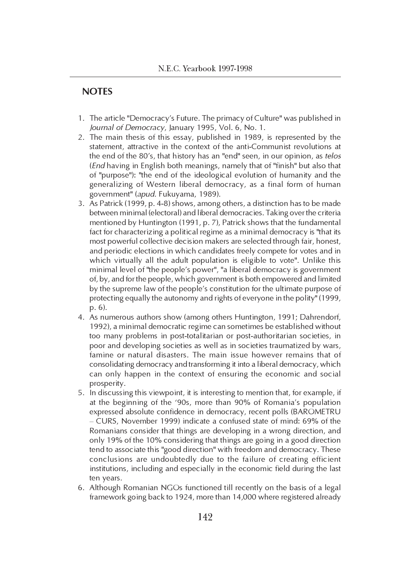## **NOTES**

- 1. The article "Democracy's Future. The primacy of Culture" was published in Journal of Democracy, January 1995, Vol. 6, No. 1.
- 2. The main thesis of this essay, published in 1989, is represented by the statement, attractive in the context of the anti-Communist revolutions at the end of the 80's, that history has an "end" seen, in our opinion, as telos (End having in English both meanings, namely that of "finish" but also that of "purpose"): "the end of the ideological evolution of humanity and the generalizing of Western liberal democracy, as a final form of human government" (apud. Fukuyama, 1989).
- 3. As Patrick (1999, p. 4-8) shows, among others, a distinction has to be made between minimal (electoral) and liberal democracies. Taking over the criteria mentioned by Huntington (1991, p. 7), Patrick shows that the fundamental fact for characterizing a political regime as a minimal democracy is "that its most powerful collective decision makers are selected through fair, honest, and periodic elections in which candidates freely compete for votes and in which virtually all the adult population is eligible to vote". Unlike this minimal level of "the people's power", "a liberal democracy is government of, by, and for the people, which government is both empowered and limited by the supreme law of the people's constitution for the ultimate purpose of protecting equally the autonomy and rights of everyone in the polity" (1999, p. 6).
- 4. As numerous authors show (among others Huntington, 1991; Dahrendorf, 1992), a minimal democratic regime can sometimes be established without too many problems in post-totalitarian or post-authoritarian societies, in poor and developing societies as well as in societies traumatized by wars, famine or natural disasters. The main issue however remains that of consolidating democracy and transforming it into a liberal democracy, which can only happen in the context of ensuring the economic and social prosperity.
- 5. In discussing this viewpoint, it is interesting to mention that, for example, if at the beginning of the '90s, more than 90% of Romania's population expressed absolute confidence in democracy, recent polls (BAROMETRU – CURS, November 1999) indicate a confused state of mind: 69% of the Romanians consider that things are developing in a wrong direction, and only 19% of the 10% considering that things are going in a good direction tend to associate this "good direction" with freedom and democracy. These conclusions are undoubtedly due to the failure of creating efficient institutions, including and especially in the economic field during the last ten years.
- 6. Although Romanian NGOs functioned till recently on the basis of a legal framework going back to 1924, more than 14,000 where registered already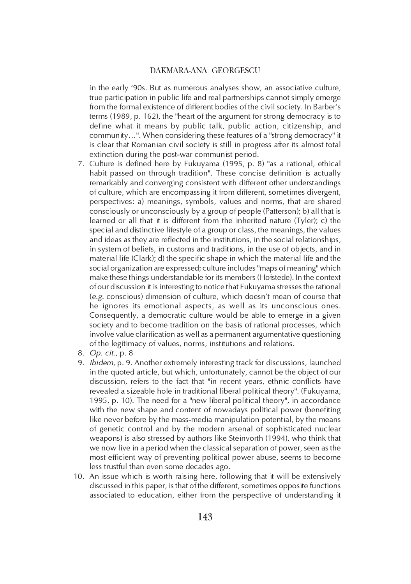in the early '90s. But as numerous analyses show, an associative culture, true participation in public life and real partnerships cannot simply emerge from the formal existence of different bodies of the civil society. In Barber's terms (1989, p. 162), the "heart of the argument for strong democracy is to define what it means by public talk, public action, citizenship, and community…". When considering these features of a "strong democracy" it is clear that Romanian civil society is still in progress after its almost total extinction during the post-war communist period.

- 7. Culture is defined here by Fukuyama (1995, p. 8) "as a rational, ethical habit passed on through tradition". These concise definition is actually remarkably and converging consistent with different other understandings of culture, which are encompassing it from different, sometimes divergent, perspectives: a) meanings, symbols, values and norms, that are shared consciously or unconsciously by a group of people (Patterson); b) all that is learned or all that it is different from the inherited nature (Tyler); c) the special and distinctive lifestyle of a group or class, the meanings, the values and ideas as they are reflected in the institutions, in the social relationships, in system of beliefs, in customs and traditions, in the use of objects, and in material life (Clark); d) the specific shape in which the material life and the social organization are expressed; culture includes "maps of meaning" which make these things understandable for its members (Hofstede). In the context of our discussion it is interesting to notice that Fukuyama stresses the rational (e.g. conscious) dimension of culture, which doesn't mean of course that he ignores its emotional aspects, as well as its unconscious ones. Consequently, a democratic culture would be able to emerge in a given society and to become tradition on the basis of rational processes, which involve value clarification as well as a permanent argumentative questioning of the legitimacy of values, norms, institutions and relations.
- 8. Op. cit., p. 8
- 9. Ibidem, p. 9. Another extremely interesting track for discussions, launched in the quoted article, but which, unfortunately, cannot be the object of our discussion, refers to the fact that "in recent years, ethnic conflicts have revealed a sizeable hole in traditional liberal political theory". (Fukuyama, 1995, p. 10). The need for a "new liberal political theory", in accordance with the new shape and content of nowadays political power (benefiting like never before by the mass-media manipulation potential, by the means of genetic control and by the modern arsenal of sophisticated nuclear weapons) is also stressed by authors like Steinvorth (1994), who think that we now live in a period when the classical separation of power, seen as the most efficient way of preventing political power abuse, seems to become less trustful than even some decades ago.
- 10. An issue which is worth raising here, following that it will be extensively discussed in this paper, is that of the different, sometimes opposite functions associated to education, either from the perspective of understanding it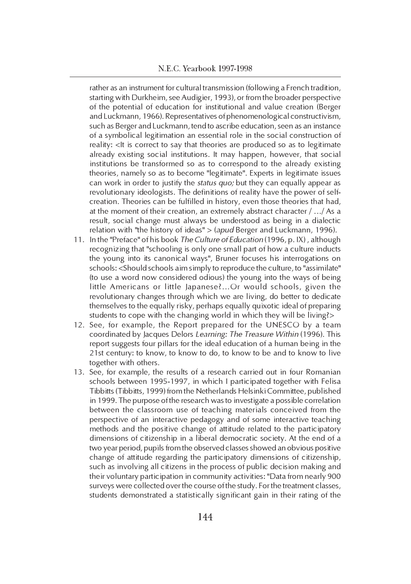rather as an instrument for cultural transmission (following a French tradition, starting with Durkheim, see Audigier, 1993), or from the broader perspective of the potential of education for institutional and value creation (Berger and Luckmann, 1966). Representatives of phenomenological constructivism, such as Berger and Luckmann, tend to ascribe education, seen as an instance of a symbolical legitimation an essential role in the social construction of reality: <It is correct to say that theories are produced so as to legitimate already existing social institutions. It may happen, however, that social institutions be transformed so as to correspond to the already existing theories, namely so as to become "legitimate". Experts in legitimate issues can work in order to justify the status quo; but they can equally appear as revolutionary ideologists. The definitions of reality have the power of selfcreation. Theories can be fulfilled in history, even those theories that had, at the moment of their creation, an extremely abstract character / …/ As a result, social change must always be understood as being in a dialectic relation with "the history of ideas" > (apud Berger and Luckmann, 1996).

- 11. In the "Preface" of his book The Culture of Education (1996, p. IX) , although recognizing that "schooling is only one small part of how a culture inducts the young into its canonical ways", Bruner focuses his interrogations on schools: <Should schools aim simply to reproduce the culture, to "assimilate" (to use a word now considered odious) the young into the ways of being little Americans or little Japanese?…Or would schools, given the revolutionary changes through which we are living, do better to dedicate themselves to the equally risky, perhaps equally quixotic ideal of preparing students to cope with the changing world in which they will be living?>
- 12. See, for example, the Report prepared for the UNESCO by a team coordinated by Jacques Delors Learning: The Treasure Within (1996). This report suggests four pillars for the ideal education of a human being in the 21st century: to know, to know to do, to know to be and to know to live together with others.
- 13. See, for example, the results of a research carried out in four Romanian schools between 1995-1997, in which I participated together with Felisa Tibbitts (Tibbitts, 1999) from the Netherlands Helsinki Committee, published in 1999. The purpose of the research was to investigate a possible correlation between the classroom use of teaching materials conceived from the perspective of an interactive pedagogy and of some interactive teaching methods and the positive change of attitude related to the participatory dimensions of citizenship in a liberal democratic society. At the end of a two year period, pupils from the observed classes showed an obvious positive change of attitude regarding the participatory dimensions of citizenship, such as involving all citizens in the process of public decision making and their voluntary participation in community activities: "Data from nearly 900 surveys were collected over the course of the study. For the treatment classes, students demonstrated a statistically significant gain in their rating of the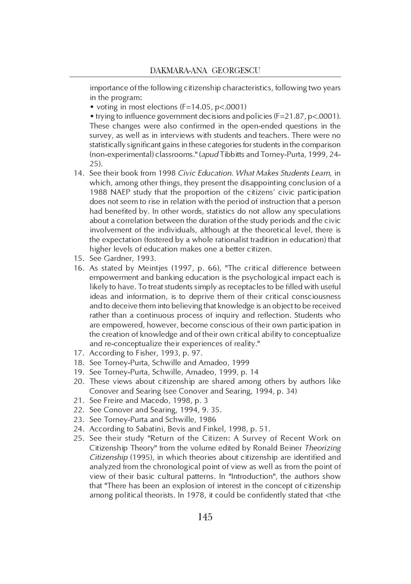importance of the following citizenship characteristics, following two years in the program:

• voting in most elections (F=14.05, p<.0001)

• trying to influence government decisions and policies (F=21.87, p<.0001). These changes were also confirmed in the open-ended questions in the survey, as well as in interviews with students and teachers. There were no statistically significant gains in these categories for students in the comparison (non-experimental) classrooms." (apud Tibbitts and Torney-Purta, 1999, 24- 25).

- 14. See their book from 1998 Civic Education. What Makes Students Learn, in which, among other things, they present the disappointing conclusion of a 1988 NAEP study that the proportion of the citizens' civic participation does not seem to rise in relation with the period of instruction that a person had benefited by. In other words, statistics do not allow any speculations about a correlation between the duration of the study periods and the civic involvement of the individuals, although at the theoretical level, there is the expectation (fostered by a whole rationalist tradition in education) that higher levels of education makes one a better citizen.
- 15. See Gardner, 1993.
- 16. As stated by Meintjes (1997, p. 66), "The critical difference between empowerment and banking education is the psychological impact each is likely to have. To treat students simply as receptacles to be filled with useful ideas and information, is to deprive them of their critical consciousness and to deceive them into believing that knowledge is an object to be received rather than a continuous process of inquiry and reflection. Students who are empowered, however, become conscious of their own participation in the creation of knowledge and of their own critical ability to conceptualize and re-conceptualize their experiences of reality."
- 17. According to Fisher, 1993, p. 97.
- 18. See Torney-Purta, Schwille and Amadeo, 1999
- 19. See Torney-Purta, Schwille, Amadeo, 1999, p. 14
- 20. These views about citizenship are shared among others by authors like Conover and Searing (see Conover and Searing, 1994, p. 34)
- 21. See Freire and Macedo, 1998, p. 3
- 22. See Conover and Searing, 1994, 9. 35.
- 23. See Torney-Purta and Schwille, 1986
- 24. According to Sabatini, Bevis and Finkel, 1998, p. 51.
- 25. See their study "Return of the Citizen: A Survey of Recent Work on Citizenship Theory" from the volume edited by Ronald Beiner Theorizing Citizenship (1995), in which theories about citizenship are identified and analyzed from the chronological point of view as well as from the point of view of their basic cultural patterns. In "Introduction", the authors show that "There has been an explosion of interest in the concept of citizenship among political theorists. In 1978, it could be confidently stated that <the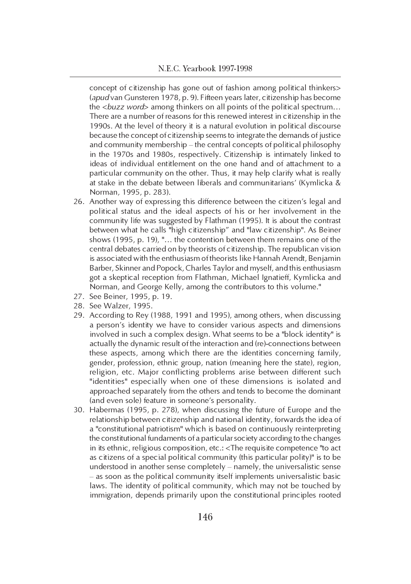concept of citizenship has gone out of fashion among political thinkers> (apud van Gunsteren 1978, p. 9). Fifteen years later, citizenship has become the <buzz word> among thinkers on all points of the political spectrum... There are a number of reasons for this renewed interest in citizenship in the 1990s. At the level of theory it is a natural evolution in political discourse because the concept of citizenship seems to integrate the demands of justice and community membership – the central concepts of political philosophy in the 1970s and 1980s, respectively. Citizenship is intimately linked to ideas of individual entitlement on the one hand and of attachment to a particular community on the other. Thus, it may help clarify what is really at stake in the debate between liberals and communitarians' (Kymlicka & Norman, 1995, p. 283).

- 26. Another way of expressing this difference between the citizen's legal and political status and the ideal aspects of his or her involvement in the community life was suggested by Flathman (1995). It is about the contrast between what he calls "high citizenship" and "law citizenship". As Beiner shows (1995, p. 19), "… the contention between them remains one of the central debates carried on by theorists of citizenship. The republican vision is associated with the enthusiasm of theorists like Hannah Arendt, Benjamin Barber, Skinner and Popock, Charles Taylor and myself, and this enthusiasm got a skeptical reception from Flathman, Michael Ignatieff, Kymlicka and Norman, and George Kelly, among the contributors to this volume."
- 27. See Beiner, 1995, p. 19.
- 28. See Walzer, 1995.
- 29. According to Rey (1988, 1991 and 1995), among others, when discussing a person's identity we have to consider various aspects and dimensions involved in such a complex design. What seems to be a "block identity" is actually the dynamic result of the interaction and (re)-connections between these aspects, among which there are the identities concerning family, gender, profession, ethnic group, nation (meaning here the state), region, religion, etc. Major conflicting problems arise between different such "identities" especially when one of these dimensions is isolated and approached separately from the others and tends to become the dominant (and even sole) feature in someone's personality.
- 30. Habermas (1995, p. 278), when discussing the future of Europe and the relationship between citizenship and national identity, forwards the idea of a "constitutional patriotism" which is based on continuously reinterpreting the constitutional fundaments of a particular society according to the changes in its ethnic, religious composition, etc.: <The requisite competence "to act as citizens of a special political community (this particular polity)" is to be understood in another sense completely – namely, the universalistic sense – as soon as the political community itself implements universalistic basic laws. The identity of political community, which may not be touched by immigration, depends primarily upon the constitutional principles rooted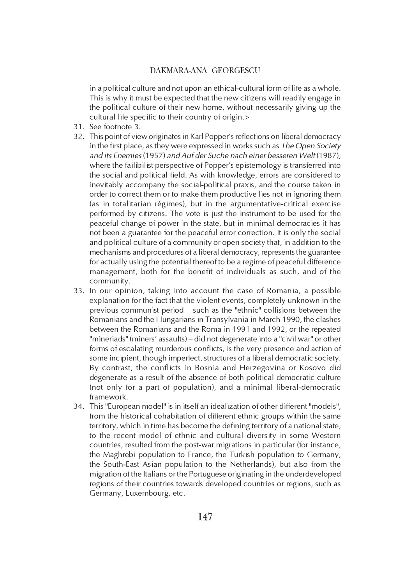in a political culture and not upon an ethical-cultural form of life as a whole. This is why it must be expected that the new citizens will readily engage in the political culture of their new home, without necessarily giving up the cultural life specific to their country of origin.>

- 31. See footnote 3.
- 32. This point of view originates in Karl Popper's reflections on liberal democracy in the first place, as they were expressed in works such as The Open Society and its Enemies (1957) and Auf der Suche nach einer besseren Welt (1987), where the failibilist perspective of Popper's epistemology is transferred into the social and political field. As with knowledge, errors are considered to inevitably accompany the social-political praxis, and the course taken in order to correct them or to make them productive lies not in ignoring them (as in totalitarian régimes), but in the argumentative-critical exercise performed by citizens. The vote is just the instrument to be used for the peaceful change of power in the state, but in minimal democracies it has not been a guarantee for the peaceful error correction. It is only the social and political culture of a community or open society that, in addition to the mechanisms and procedures of a liberal democracy, represents the guarantee for actually using the potential thereof to be a regime of peaceful difference management, both for the benefit of individuals as such, and of the community.
- 33. In our opinion, taking into account the case of Romania, a possible explanation for the fact that the violent events, completely unknown in the previous communist period – such as the "ethnic" collisions between the Romanians and the Hungarians in Transylvania in March 1990, the clashes between the Romanians and the Roma in 1991 and 1992, or the repeated "mineriads" (miners' assaults) – did not degenerate into a "civil war" or other forms of escalating murderous conflicts, is the very presence and action of some incipient, though imperfect, structures of a liberal democratic society. By contrast, the conflicts in Bosnia and Herzegovina or Kosovo did degenerate as a result of the absence of both political democratic culture (not only for a part of population), and a minimal liberal-democratic framework.
- 34. This "European model" is in itself an idealization of other different "models", from the historical cohabitation of different ethnic groups within the same territory, which in time has become the defining territory of a national state, to the recent model of ethnic and cultural diversity in some Western countries, resulted from the post-war migrations in particular (for instance, the Maghrebi population to France, the Turkish population to Germany, the South-East Asian population to the Netherlands), but also from the migration of the Italians or the Portuguese originating in the underdeveloped regions of their countries towards developed countries or regions, such as Germany, Luxembourg, etc.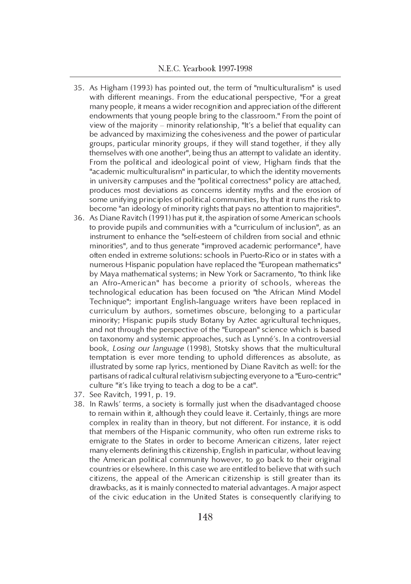- 35. As Higham (1993) has pointed out, the term of "multiculturalism" is used with different meanings. From the educational perspective, "For a great many people, it means a wider recognition and appreciation of the different endowments that young people bring to the classroom." From the point of view of the majority – minority relationship, "It's a belief that equality can be advanced by maximizing the cohesiveness and the power of particular groups, particular minority groups, if they will stand together, if they ally  $\frac{1}{2}$  themselves with one another", being thus an attempt to validate an identity. From the political and ideological point of view, Higham finds that the "academic multiculturalism" in particular, to which the identity movements in university campuses and the "political correctness" policy are attached, produces most deviations as concerns identity myths and the erosion of some unifying principles of political communities, by that it runs the risk to become "an ideology of minority rights that pays no attention to majorities".
- 36. As Diane Ravitch (1991) has put it, the aspiration of some American schools to provide pupils and communities with a "curriculum of inclusion", as an instrument to enhance the "self-esteem of children from social and ethnic minorities", and to thus generate "improved academic performance", have often ended in extreme solutions: schools in Puerto-Rico or in states with a numerous Hispanic population have replaced the "European mathematics" by Maya mathematical systems; in New York or Sacramento, "to think like an Afro-American" has become a priority of schools, whereas the technological education has been focused on "the African Mind Model Technique"; important English-language writers have been replaced in curriculum by authors, sometimes obscure, belonging to a particular minority; Hispanic pupils study Botany by Aztec agricultural techniques, and not through the perspective of the "European" science which is based on taxonomy and systemic approaches, such as Lynné's. In a controversial book, Losing our language (1998), Stotsky shows that the multicultural temptation is ever more tending to uphold differences as absolute, as illustrated by some rap lyrics, mentioned by Diane Ravitch as well: for the partisans of radical cultural relativism subjecting everyone to a "Euro-centric" culture "it's like trying to teach a dog to be a cat".
- 37. See Ravitch, 1991, p. 19.
- 38. In Rawls' terms, a society is formally just when the disadvantaged choose to remain within it, although they could leave it. Certainly, things are more complex in reality than in theory, but not different. For instance, it is odd that members of the Hispanic community, who often run extreme risks to emigrate to the States in order to become American citizens, later reject many elements defining this citizenship, English in particular, without leaving the American political community however, to go back to their original countries or elsewhere. In this case we are entitled to believe that with such citizens, the appeal of the American citizenship is still greater than its drawbacks, as it is mainly connected to material advantages. A major aspect of the civic education in the United States is consequently clarifying to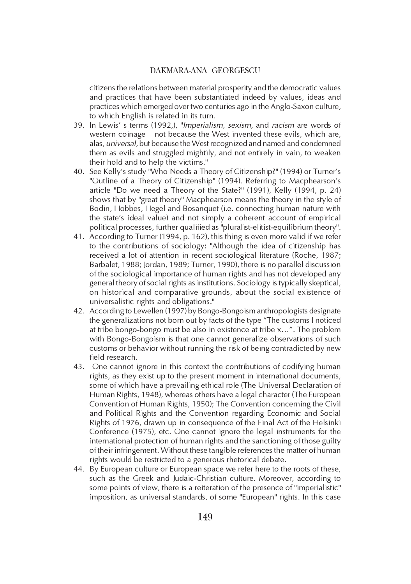citizens the relations between material prosperity and the democratic values and practices that have been substantiated indeed by values, ideas and practices which emerged over two centuries ago in the Anglo-Saxon culture, to which English is related in its turn.

- 39. In Lewis' s terms (1992.), "Imperialism, sexism, and racism are words of western coinage – not because the West invented these evils, which are, alas, universal, but because the West recognized and named and condemned them as evils and struggled mightily, and not entirely in vain, to weaken their hold and to help the victims."
- 40. See Kelly's study "Who Needs a Theory of Citizenship?" (1994) or Turner's "Outline of a Theory of Citizenship" (1994). Referring to Macphearson's article "Do we need a Theory of the State?" (1991), Kelly (1994, p. 24) shows that by "great theory" Macphearson means the theory in the style of Bodin, Hobbes, Hegel and Bosanquet (i.e. connecting human nature with the state's ideal value) and not simply a coherent account of empirical political processes, further qualified as "pluralist-elitist-equilibrium theory".
- 41. According to Turner (1994, p. 162), this thing is even more valid if we refer to the contributions of sociology: "Although the idea of citizenship has received a lot of attention in recent sociological literature (Roche, 1987; Barbalet, 1988; Jordan, 1989; Turner, 1990), there is no parallel discussion of the sociological importance of human rights and has not developed any general theory of social rights as institutions. Sociology is typically skeptical, on historical and comparative grounds, about the social existence of universalistic rights and obligations."
- 42. According to Lewellen (1997) by Bongo-Bongoism anthropologists designate the generalizations not born out by facts of the type "The customs I noticed at tribe bongo-bongo must be also in existence at tribe x…". The problem with Bongo-Bongoism is that one cannot generalize observations of such customs or behavior without running the risk of being contradicted by new field research.
- 43. One cannot ignore in this context the contributions of codifying human rights, as they exist up to the present moment in international documents, some of which have a prevailing ethical role (The Universal Declaration of Human Rights, 1948), whereas others have a legal character (The European Convention of Human Rights, 1950); The Convention concerning the Civil and Political Rights and the Convention regarding Economic and Social Rights of 1976, drawn up in consequence of the Final Act of the Helsinki Conference (1975), etc. One cannot ignore the legal instruments for the international protection of human rights and the sanctioning of those guilty of their infringement. Without these tangible references the matter of human rights would be restricted to a generous rhetorical debate.
- 44. By European culture or European space we refer here to the roots of these, such as the Greek and Judaic-Christian culture. Moreover, according to some points of view, there is a reiteration of the presence of "imperialistic" imposition, as universal standards, of some "European" rights. In this case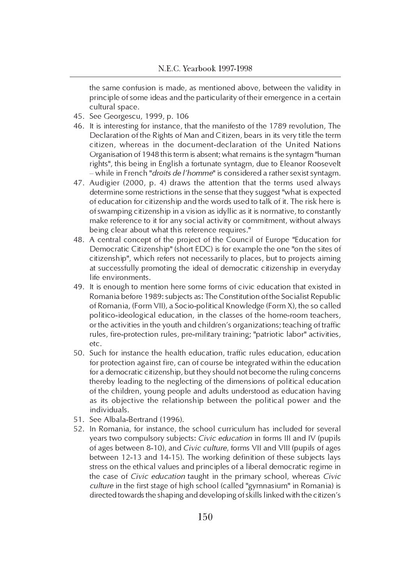the same confusion is made, as mentioned above, between the validity in principle of some ideas and the particularity of their emergence in a certain cultural space.

- 45. See Georgescu, 1999, p. 106
- 46. It is interesting for instance, that the manifesto of the 1789 revolution, The Declaration of the Rights of Man and Citizen, bears in its very title the term citizen, whereas in the document-declaration of the United Nations Organisation of 1948 this term is absent; what remains is the syntagm "human rights", this being in English a fortunate syntagm, due to Eleanor Roosevelt – while in French "droits de l'homme" is considered a rather sexist syntagm.
- 47. Audigier (2000, p. 4) draws the attention that the terms used always determine some restrictions in the sense that they suggest "what is expected of education for citizenship and the words used to talk of it. The risk here is of swamping citizenship in a vision as idyllic as it is normative, to constantly make reference to it for any social activity or commitment, without always being clear about what this reference requires."
- 48. A central concept of the project of the Council of Europe "Education for Democratic Citizenship" (short EDC) is for example the one "on the sites of citizenship", which refers not necessarily to places, but to projects aiming at successfully promoting the ideal of democratic citizenship in everyday life environments.
- 49. It is enough to mention here some forms of civic education that existed in Romania before 1989: subjects as: The Constitution of the Socialist Republic of Romania, (Form VII), a Socio-political Knowledge (Form X), the so called politico-ideological education, in the classes of the home-room teachers, or the activities in the youth and children's organizations; teaching of traffic rules, fire-protection rules, pre-military training; "patriotic labor" activities, etc.
- 50. Such for instance the health education, traffic rules education, education for protection against fire, can of course be integrated within the education for a democratic citizenship, but they should not become the ruling concerns thereby leading to the neglecting of the dimensions of political education of the children, young people and adults understood as education having as its objective the relationship between the political power and the individuals.
- 51. See Albala-Bertrand (1996).
- 52. In Romania, for instance, the school curriculum has included for several years two compulsory subjects: Civic education in forms III and IV (pupils of ages between 8-10), and Civic culture, forms VII and VIII (pupils of ages between 12-13 and 14-15). The working definition of these subjects lays stress on the ethical values and principles of a liberal democratic regime in the case of Civic education taught in the primary school, whereas Civic culture in the first stage of high school (called "gymnasium" in Romania) is directed towards the shaping and developing of skills linked with the citizen's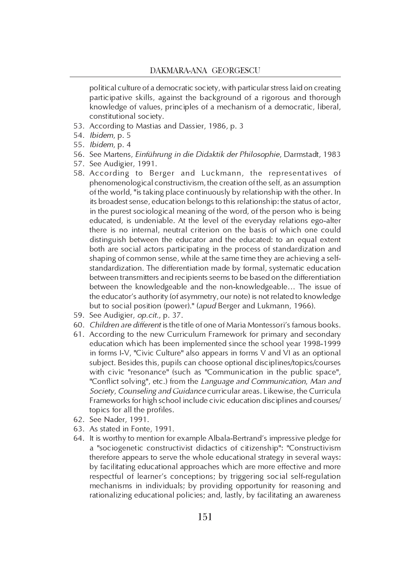political culture of a democratic society, with particular stress laid on creating participative skills, against the background of a rigorous and thorough knowledge of values, principles of a mechanism of a democratic, liberal, constitutional society.

- 53. According to Mastias and Dassier, 1986, p. 3
- 54. Ibidem, p. 5
- 55. Ibidem, p. 4
- 56. See Martens, Einführung in die Didaktik der Philosophie, Darmstadt, 1983
- 57. See Audigier, 1991.
- 58. According to Berger and Luckmann, the representatives of phenomenological constructivism, the creation of the self, as an assumption of the world, "is taking place continuously by relationship with the other. In its broadest sense, education belongs to this relationship: the status of actor, in the purest sociological meaning of the word, of the person who is being educated, is undeniable. At the level of the everyday relations ego-alter there is no internal, neutral criterion on the basis of which one could distinguish between the educator and the educated: to an equal extent both are social actors participating in the process of standardization and shaping of common sense, while at the same time they are achieving a selfstandardization. The differentiation made by formal, systematic education between transmitters and recipients seems to be based on the differentiation between the knowledgeable and the non-knowledgeable… The issue of the educator's authority (of asymmetry, our note) is not related to knowledge but to social position (power)." (apud Berger and Lukmann, 1966).
- 59. See Audigier, op.cit., p. 37.
- 60. Children are different is the title of one of Maria Montessori's famous books.
- 61. According to the new Curriculum Framework for primary and secondary education which has been implemented since the school year 1998-1999 in forms I-V, "Civic Culture" also appears in forms V and VI as an optional subject. Besides this, pupils can choose optional disciplines/topics/courses with civic "resonance" (such as "Communication in the public space", "Conflict solving", etc.) from the Language and Communication, Man and Society, Counseling and Guidance curricular areas. Likewise, the Curricula Frameworks for high school include civic education disciplines and courses/ topics for all the profiles.
- 62. See Nader, 1991.
- 63. As stated in Fonte, 1991.
- 64. It is worthy to mention for example Albala-Bertrand's impressive pledge for a "sociogenetic constructivist didactics of citizenship": "Constructivism therefore appears to serve the whole educational strategy in several ways: by facilitating educational approaches which are more effective and more respectful of learner's conceptions; by triggering social self-regulation mechanisms in individuals; by providing opportunity for reasoning and rationalizing educational policies; and, lastly, by facilitating an awareness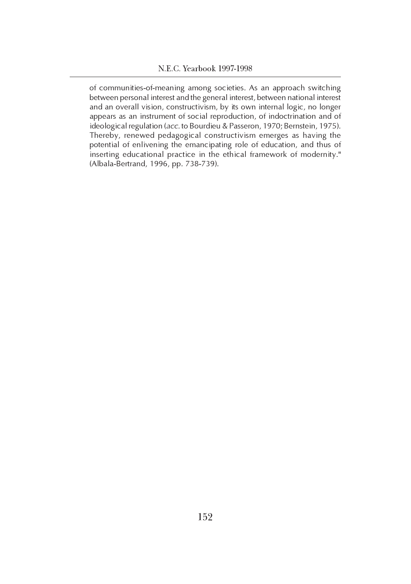of communities-of-meaning among societies. As an approach switching between personal interest and the general interest, between national interest and an overall vision, constructivism, by its own internal logic, no longer appears as an instrument of social reproduction, of indoctrination and of ideological regulation (acc. to Bourdieu & Passeron, 1970; Bernstein, 1975). Thereby, renewed pedagogical constructivism emerges as having the potential of enlivening the emancipating role of education, and thus of inserting educational practice in the ethical framework of modernity." (Albala-Bertrand, 1996, pp. 738-739).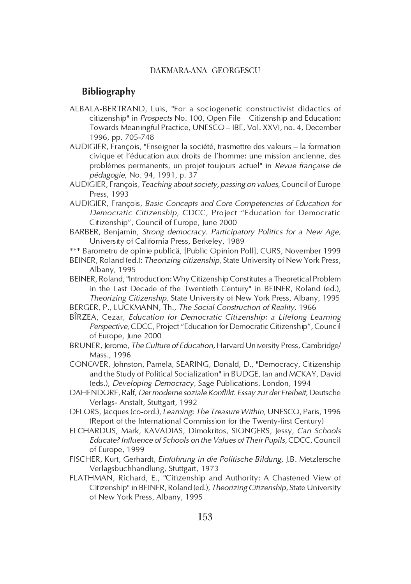## Bibliography

- ALBALA-BERTRAND, Luis, "For a sociogenetic constructivist didactics of citizenship" in Prospects No. 100, Open File – Citizenship and Education: Towards Meaningful Practice, UNESCO – IBE, Vol. XXVI, no. 4, December 1996, pp. 705-748
- AUDIGIER, François, "Enseigner la société, trasmettre des valeurs la formation civique et l'éducation aux droits de l'homme: une mission ancienne, des problèmes permanents, un projet toujours actuel" in Revue française de pédagogie, No. 94, 1991, p. 37
- AUDIGIER, François, Teaching about society, passing on values, Council of Europe Press, 1993
- AUDIGIER, François, Basic Concepts and Core Competencies of Education for Democratic Citizenship, CDCC, Project "Education for Democratic Citizenship", Council of Europe, June 2000
- BARBER, Benjamin, Strong democracy. Participatory Politics for a New Age, University of California Press, Berkeley, 1989
- \*\*\* Barometru de opinie publicã, [Public Opinion Poll], CURS, November 1999
- BEINER, Roland (ed.): Theorizing citizenship, State University of New York Press, Albany, 1995
- BEINER, Roland, "Introduction: Why Citizenship Constitutes a Theoretical Problem in the Last Decade of the Twentieth Century" in BEINER, Roland (ed.), Theorizing Citizenship, State University of New York Press, Albany, 1995
- BERGER, P., LUCKMANN, Th., The Social Construction of Reality, 1966
- BÎRZEA, Cezar, Education for Democratic Citizenship: a Lifelong Learning Perspective, CDCC, Project "Education for Democratic Citizenship", Council of Europe, June 2000
- BRUNER, Jerome, The Culture of Education, Harvard University Press, Cambridge/ Mass., 1996
- CONOVER, Johnston, Pamela, SEARING, Donald, D., "Democracy, Citizenship and the Study of Political Socialization" in BUDGE, Ian and MCKAY, David (eds.), Developing Democracy, Sage Publications, London, 1994
- DAHENDORF, Ralf, Der moderne soziale Konflikt. Essay zur der Freiheit, Deutsche Verlags- Anstalt, Stuttgart, 1992
- DELORS, Jacques (co-ord.), Learning: The Treasure Within, UNESCO, Paris, 1996 (Report of the International Commission for the Twenty-first Century)
- ELCHARDUS, Mark, KAVADIAS, Dimokritos, SIONGERS, Jessy, Can Schools Educate? Influence of Schools on the Values of Their Pupils, CDCC, Council of Europe, 1999
- FISCHER, Kurt, Gerhardt, Einführung in die Politische Bildung, J.B. Metzlersche Verlagsbuchhandlung, Stuttgart, 1973
- FLATHMAN, Richard, E., "Citizenship and Authority: A Chastened View of Citizenship" in BEINER, Roland (ed.), Theorizing Citizenship, State University of New York Press, Albany, 1995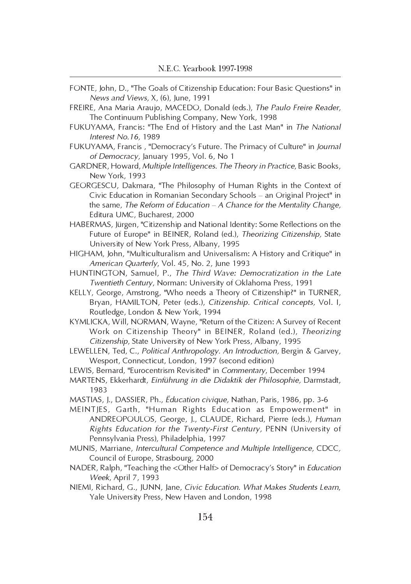- FONTE, John, D., "The Goals of Citizenship Education: Four Basic Questions" in News and Views, X, (6), June, 1991
- FREIRE, Ana Maria Araujo, MACEDO, Donald (eds.), The Paulo Freire Reader, The Continuum Publishing Company, New York, 1998
- FUKUYAMA, Francis: "The End of History and the Last Man" in The National Interest No.16, 1989
- FUKUYAMA, Francis , "Democracy's Future. The Primacy of Culture" in Journal of Democracy, January 1995, Vol. 6, No 1
- GARDNER, Howard, Multiple Intelligences. The Theory in Practice, Basic Books, New York, 1993
- GEORGESCU, Dakmara, "The Philosophy of Human Rights in the Context of Civic Education in Romanian Secondary Schools – an Original Project" in the same, The Reform of Education  $-A$  Chance for the Mentality Change, Editura UMC, Bucharest, 2000
- HABERMAS, Jürgen, "Citizenship and National Identity: Some Reflections on the Future of Europe" in BEINER, Roland (ed.), Theorizing Citizenship, State University of New York Press, Albany, 1995
- HIGHAM, John, "Multiculturalism and Universalism: A History and Critique" in American Quarterly, Vol. 45, No. 2, June 1993
- HUNTINGTON, Samuel, P., The Third Wave: Democratization in the Late Twentieth Century, Norman: University of Oklahoma Press, 1991
- KELLY, George, Amstrong, "Who needs a Theory of Citizenship?" in TURNER, Bryan, HAMILTON, Peter (eds.), Citizenship. Critical concepts, Vol. I, Routledge, London & New York, 1994
- KYMLICKA, Will, NORMAN, Wayne, "Return of the Citizen: A Survey of Recent Work on Citizenship Theory" in BEINER, Roland (ed.), Theorizing Citizenship, State University of New York Press, Albany, 1995
- LEWELLEN, Ted, C., Political Anthropology. An Introduction, Bergin & Garvey, Wesport, Connecticut, London, 1997 (second edition)
- LEWIS, Bernard, "Eurocentrism Revisited" in Commentary, December 1994
- MARTENS, Ekkerhardt, Einführung in die Didaktik der Philosophie, Darmstadt, 1983
- MASTIAS, J., DASSIER, Ph., Ëducation civique, Nathan, Paris, 1986, pp. 3-6
- MEINTJES, Garth, "Human Rights Education as Empowerment" in ANDREOPOULOS, George, J., CLAUDE, Richard, Pierre (eds.), Human Rights Education for the Twenty-First Century, PENN (University of Pennsylvania Press), Philadelphia, 1997
- MUNIS, Marriane, Intercultural Competence and Multiple Intelligence, CDCC, Council of Europe, Strasbourg, 2000
- NADER, Ralph, "Teaching the <Other Half> of Democracy's Story" in Education Week, April 7, 1993
- NIEMI, Richard, G., JUNN, Jane, Civic Education. What Makes Students Learn, Yale University Press, New Haven and London, 1998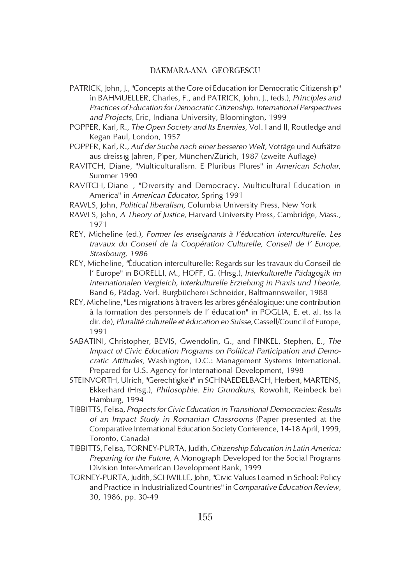- PATRICK, John, J., "Concepts at the Core of Education for Democratic Citizenship" in BAHMUELLER, Charles, F., and PATRICK, John, J., (eds.), Principles and Practices of Education for Democratic Citizenship. International Perspectives and Projects, Eric, Indiana University, Bloomington, 1999
- POPPER, Karl, R., The Open Society and Its Enemies, Vol. I and II, Routledge and Kegan Paul, London, 1957
- POPPER, Karl, R., Auf der Suche nach einer besseren Welt, Voträge und Aufsätze aus dreissig Jahren, Piper, München/Zürich, 1987 (zweite Auflage)
- RAVITCH, Diane, "Multiculturalism. E Pluribus Plures" in American Scholar, Summer 1990
- RAVITCH, Diane , "Diversity and Democracy. Multicultural Education in America" in American Educator, Spring 1991
- RAWLS, John, Political liberalism, Columbia University Press, New York
- RAWLS, John, A Theory of Justice, Harvard University Press, Cambridge, Mass., 1971
- REY, Micheline (ed.), Former les enseignants à l'éducation interculturelle. Les travaux du Conseil de la Coopération Culturelle, Conseil de l' Europe, Strasbourg, 1986
- REY, Micheline, "Éducation interculturelle: Regards sur les travaux du Conseil de l' Europe" in BORELLI, M., HOFF, G. (Hrsg.), Interkulturelle Pädagogik im internationalen Vergleich, Interkulturelle Erziehung in Praxis und Theorie, Band 6, Pädag. Verl. Burgbücherei Schneider, Baltmannsweiler, 1988
- REY, Micheline, "Les migrations à travers les arbres généalogique: une contribution à la formation des personnels de l' éducation" in POGLIA, E. et. al. (ss la dir. de), Pluralité culturelle et éducation en Suisse, Cassell/Council of Europe, 1991
- SABATINI, Christopher, BEVIS, Gwendolin, G., and FINKEL, Stephen, E., The Impact of Civic Education Programs on Political Participation and Democratic Attitudes, Washington, D.C.: Management Systems International. Prepared for U.S. Agency for International Development, 1998
- STEINVORTH, Ulrich, "Gerechtigkeit" in SCHNAEDELBACH, Herbert, MARTENS, Ekkerhard (Hrsg.), Philosophie. Ein Grundkurs, Rowohlt, Reinbeck bei Hamburg, 1994
- TIBBITTS, Felisa, Propects for Civic Education in Transitional Democracies: Results of an Impact Study in Romanian Classrooms (Paper presented at the Comparative International Education Society Conference, 14-18 April, 1999, Toronto, Canada)
- TIBBITTS, Felisa, TORNEY-PURTA, Judith, Citizenship Education in Latin America: Preparing for the Future, A Monograph Developed for the Social Programs Division Inter-American Development Bank, 1999
- TORNEY-PURTA, Judith, SCHWILLE, John, "Civic Values Learned in School: Policy and Practice in Industrialized Countries" in Comparative Education Review, 30, 1986, pp. 30-49